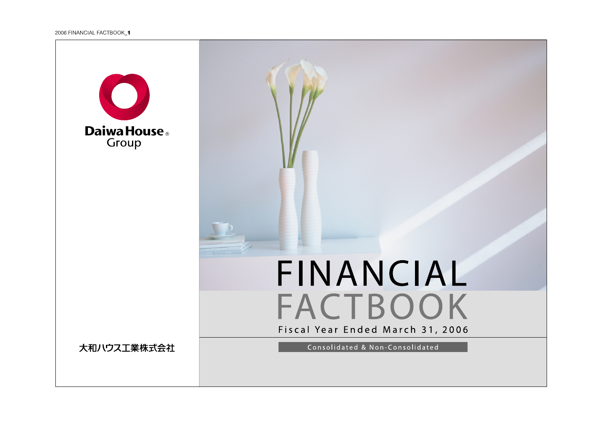

# FINANCIAL FACTBOOK Fiscal Year Ended March 31, 2006

大和ハウス工業株式会社

Consolidated & Non-Consolidated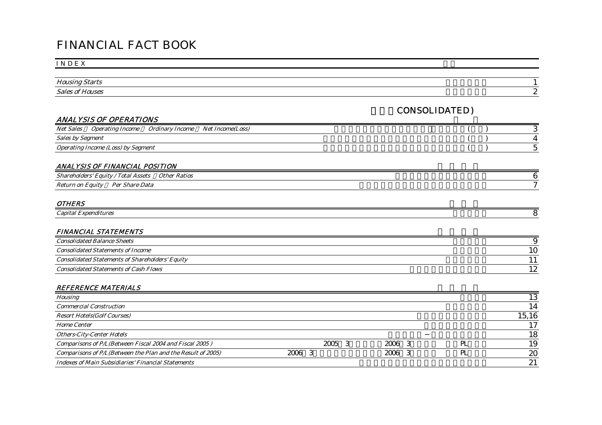# FINANCIAL FACT BOOK

#### I N D E X

| $\mathbf{r}$<br>Housing                 |   |
|-----------------------------------------|---|
| $\sim$ $\cdot$<br>Sales.<br>nt House: : | ╭ |

#### CONSOLIDATED)

#### ANALYSIS OF OPERATIONS

| Net Sales<br>Uperating                    | ' Income<br>Ordinary Income | $\sim$<br>: Income(Loss)<br>/Vet |  |
|-------------------------------------------|-----------------------------|----------------------------------|--|
| $\sim$<br>Segment<br>Sales by             |                             |                                  |  |
| <i>Operating Income (Loss) by Segment</i> |                             |                                  |  |

#### ANALYSIS OF FINANCIAL POSITION

| $\sim$<br>$\sim$<br>$\overline{\phantom{0}}$<br>Lotal<br>.shar<br>Assets<br>Eauitv<br>eholders | $\sqrt{ }$<br>Othe<br><i><b>Ratios</b></i> |     |
|------------------------------------------------------------------------------------------------|--------------------------------------------|-----|
| $\sim$<br>$\sqrt{ }$<br>Data<br>Katıırr<br>Per Share<br>Eauit<br>nn                            |                                            | . . |

#### OTHERS

| Capital<br><i>_xpenditures</i> |  |
|--------------------------------|--|
|                                |  |

#### FINANCIAL STATEMENTS

| <b>Consolidated Balance Sheets</b>                     |                        |
|--------------------------------------------------------|------------------------|
| <b>Consolidated Statements of Income</b>               | 10                     |
| <b>Consolidated Statements of Shareholders' Equity</b> |                        |
| <b>Consolidated Statements of Cash Flows</b>           | . വ<br>$\overline{16}$ |

#### REFERENCE MATERIALS

| <b>Housing</b>                                              |                |        |     | 13    |
|-------------------------------------------------------------|----------------|--------|-----|-------|
| <b>Commercial Construction</b>                              |                |        |     | 14    |
| <b>Resort Hotels(Golf Courses)</b>                          |                |        |     | 15,16 |
| <i><b>Home Center</b></i>                                   |                |        |     | 17    |
| <b>Others-City-Center Hotels</b>                            |                |        |     | 18    |
| Comparisons of P/L(Between Fiscal 2004 and Fiscal 2005)     | 2005           | 2006 3 | PL. | 19    |
| Comparisons of P/L(Between the Plan and the Result of 2005) | $2006 \quad 3$ | 2006 3 | PL. | 20    |
| <b>Indexes of Main Subsidiaries' Financial Statements</b>   |                |        |     | 21    |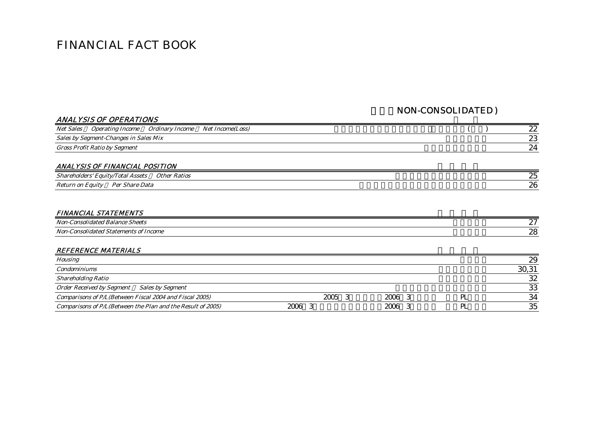# FINANCIAL FACT BOOK

#### NON-CONSOLIDATED )

|                  | ANALYSIS OF OPERATIONS                |                 |                         |  |    |
|------------------|---------------------------------------|-----------------|-------------------------|--|----|
| <b>Net Sales</b> | <i><b>Operating Income</b></i>        | Ordinary Income | <i>Net Income(Loss)</i> |  | 22 |
|                  | Sales by Segment-Changes in Sales Mix |                 |                         |  | 23 |
|                  | Gross Profit Ratio by Segment         |                 |                         |  | 24 |

#### ANALYSIS OF FINANCIAL POSITION

| $\sim$<br>Other Ratios<br>$\sqrt{2}$<br>™otar<br>ヾゎっゝ<br>Assets<br><i>Eauitv</i><br>∘holders | $\Omega$ $\sim$<br>∼ |
|----------------------------------------------------------------------------------------------|----------------------|
| $\mathbf{r}$<br>$\sim$<br>Data<br>Ρρι<br>Share<br>aun<br>Voturn<br>- 61                      | ባር<br>∼∪             |

#### FINANCIAL STATEMENTS

| Noi.<br><i>Sheets</i><br>alanc | $\sim$ |
|--------------------------------|--------|
| Noi<br>Income<br>ΩI<br>,,,,    | ~~     |

#### REFERENCE MATERIALS

| <b>Housing</b>                                              |      |      | 29    |
|-------------------------------------------------------------|------|------|-------|
| <b>Condominiums</b>                                         |      |      | 30,31 |
| <b>Shareholding Ratio</b>                                   |      |      | 32    |
| Order Received by Segment Sales by Segment                  |      |      | 33    |
| Comparisons of P/L(Between Fiscal 2004 and Fiscal 2005)     | 2005 | 2006 | 34    |
| Comparisons of P/L(Between the Plan and the Result of 2005) | 2006 | 2006 | 35    |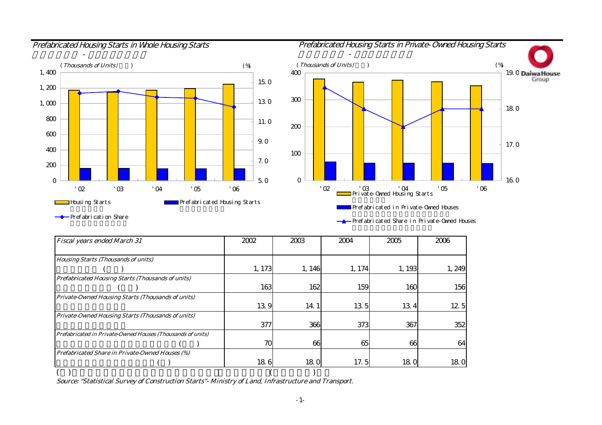

住宅着工戸数 - プレハブ着工戸数







Prefabrication Share

Prefabricated Share in Private-Owned Houses

| Fiscal years ended March 31                                | 2002   | 2003   | 2004   | 2005  | 2006  |
|------------------------------------------------------------|--------|--------|--------|-------|-------|
|                                                            |        |        |        |       |       |
| <b>Housing Starts (Thousands of units)</b>                 |        |        |        |       |       |
|                                                            | 1, 173 | 1, 146 | 1, 174 | 1,193 | 1,249 |
| <b>Prefabricated Housing Starts (Thousands of units)</b>   |        |        |        |       |       |
|                                                            | 163    | 162    | 159    | 160   | 156   |
| Private-Owned Housing Starts (Thousands of units)          |        |        |        |       |       |
|                                                            | 139    | 14.1   | 13.5   | 134   | 12.5  |
| Private-Owned Housing Starts (Thousands of units)          |        |        |        |       |       |
|                                                            | 377    | 366    | 373    | 367   | 352   |
| Prefabricated in Private-Owned Houses (Thousands of units) |        |        |        |       |       |
|                                                            | 70     | 66     | 65     | 66    | 64    |
| Prefabricated Share in Private-Owned Houses (%)            |        |        |        |       |       |
|                                                            | 186    | 18.0   | 17.5   | 180   | 18.0  |
|                                                            |        |        |        |       |       |

Source: "Statistical Survey of Construction Starts"- Ministry of Land, Infrastructure and Transport.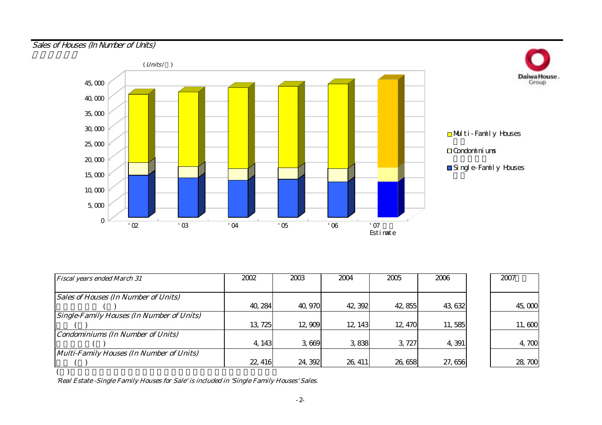## Sales of Houses (In Number of Units)



| <b>Fiscal years ended March 31</b>               | 2002    | 2003    | 2004    | 2005    | 2006    | 2007   |
|--------------------------------------------------|---------|---------|---------|---------|---------|--------|
|                                                  |         |         |         |         |         |        |
| <b>Sales of Houses (In Number of Units)</b>      |         |         |         |         |         |        |
|                                                  | 40, 284 | 40,970  | 42, 392 | 42,855  | 43, 632 | 45,000 |
| <b>Single-Family Houses (In Number of Units)</b> |         |         |         |         |         |        |
|                                                  | 13, 725 | 12,909  | 12, 143 | 12, 470 | 11,585  | 11,600 |
| <b>Condominiums (In Number of Units)</b>         |         |         |         |         |         |        |
|                                                  | 4, 143  | 3,669   | 3838    | 3.727   | 4,391   | 4,700  |
| Multi-Family Houses (In Number of Units)         |         |         |         |         |         |        |
|                                                  | 22, 416 | 24, 392 | 26, 411 | 26,658  | 27,656  | 28,700 |
|                                                  |         |         |         |         |         |        |

'Real Estate -Single Family Houses for Sale' is included in 'Single Family Houses' Sales.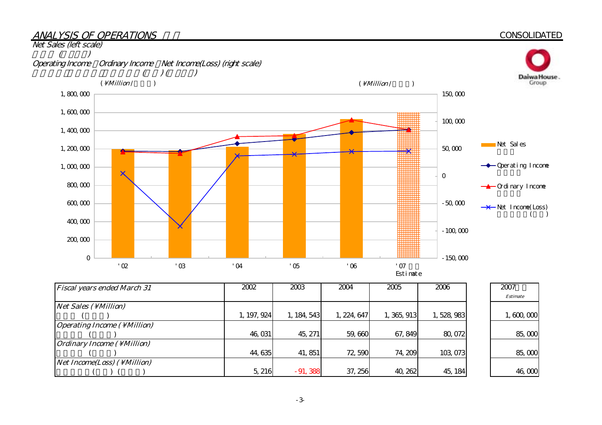#### ANALYSIS OF OPERATIONS

#### **CONSOLIDATED**



| <b>Fiscal years ended March 31</b>          | 2002        | 2003        | 2004        | 2005        | 2006      | 2007        |
|---------------------------------------------|-------------|-------------|-------------|-------------|-----------|-------------|
|                                             |             |             |             |             |           | Estimate    |
| $Net Sales ( \Million)$                     |             |             |             |             |           |             |
|                                             | 1, 197, 924 | 1, 184, 543 | 1, 224, 647 | 1, 365, 913 | 1,528,983 | 1, 600, 000 |
| <b>Operating Income (\Million)</b>          |             |             |             |             |           |             |
|                                             | 46,031      | 45, 271     | 59,660      | 67, 849     | 80,072    | 85,000      |
| <i><b>Ordinary Income (\Million)</b></i>    |             |             |             |             |           |             |
|                                             | 44,635      | 41, 851     | 72,590      | 74, 209     | 103,073   | 85,000      |
| <i>Net Income(Loss)</i> ( \ <i>Million)</i> |             |             |             |             |           |             |
|                                             | 5, 216      | $-91,388$   | 37, 256     | 40, 262     | 45, 184   | 46,000      |

-3-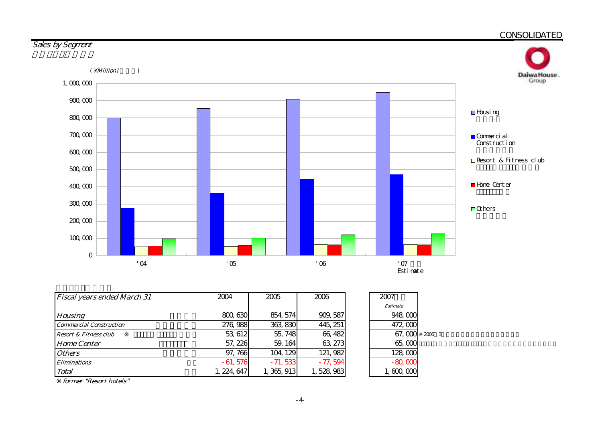

| <b>Fiscal years ended March 31</b> | 2004       | 2005       | 2006      | 2007            |        |
|------------------------------------|------------|------------|-----------|-----------------|--------|
|                                    |            |            |           | <b>Estimate</b> |        |
| <b>Housing</b>                     | 800, 630   | 854, 574   | 909, 587  | 948,000         |        |
| <b>Commercial Construction</b>     | 276, 988   | 363, 830   | 445, 251  | 472,000         |        |
| <b>Resort &amp; Fitness club</b>   | 53, 612    | 55, 748    | 66, 482   | 67,000          | 2006 3 |
| <b>Home Center</b>                 | 57, 226    | 59, 164    | 63, 273   | 65,000          |        |
| <b>Others</b>                      | 97,766     | 104, 129   | 121, 982  | 128,000         |        |
| <i><b>Eliminations</b></i>         | $-61,576$  | $-71,533$  | $-77,594$ | $-80,000$       |        |
| Total                              | , 224, 647 | , 365, 913 | 528, 983  | 1,600,000       |        |

former "Resort hotels"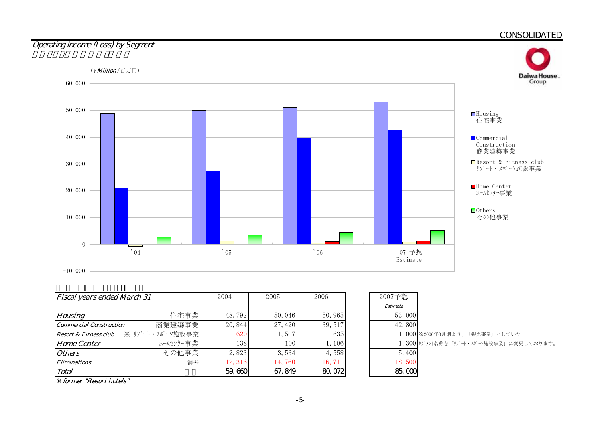

| <b>Fiscal years ended March 31</b>       | 2004      | 2005      | 2006       | 2007予想    |                                         |
|------------------------------------------|-----------|-----------|------------|-----------|-----------------------------------------|
|                                          |           |           |            | Estimate  |                                         |
| 住宅事業<br><b>Housing</b>                   | 48,792    | 50,046    | 50,965     | 53,000    |                                         |
| 商業建築事業<br><b>Commercial Construction</b> | 20, 844   | 27, 420   | 39, 517    | 42,800    |                                         |
| Resort & Fitness club ※ リゾート・スポーツ施設事業    | $-620$    | 1,507     | 635        |           | 1,000 ※2006年3月期より、「観光事業」としていた           |
| ホームセンター事業<br><b>Home Center</b>          | 138       | 100       | 1,106      |           | 1,300 セグメント名称を「リゾート・スポーツ施設事業」に変更しております。 |
| その他事業<br><i><b>Others</b></i>            | 2,823     | 3,534     | 4,558      | 5,400     |                                         |
| 消去<br><i><b>Eliminations</b></i>         | $-12,316$ | $-14,760$ | $-16, 711$ | $-18,500$ |                                         |
| <b>Total</b>                             | 59,660    | 67, 849   | 80,072     | 85,000    |                                         |

| 2007予想          |                                         |
|-----------------|-----------------------------------------|
| <b>Estimate</b> |                                         |
| 53,000          |                                         |
| 42,800          |                                         |
|                 | 1,000 ※2006年3月期より、「観光事業」としていた           |
|                 | 1,300 セグメント名称を「リゾート・スポーツ施設事業」に変更しております。 |
| 5,400           |                                         |
| $-18,500$       |                                         |
|                 |                                         |

former "Resort hotels"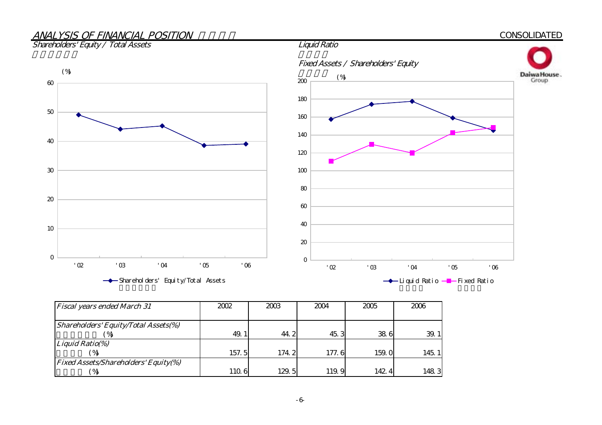# ANALYSIS OF FINANCIAL POSITION

#### Shareholders' Equity / Total Assets



| <b>Fiscal years ended March 31</b>          | 2002  | 2003  | 2004  | 2005  | 2006 |
|---------------------------------------------|-------|-------|-------|-------|------|
|                                             |       |       |       |       |      |
| <b>Shareholders' Equity/Total Assets(%)</b> |       |       |       |       |      |
| $\%$                                        | 49.   | 44.2  | 45.3  | 38.6  | 39.  |
| <b>Liquid Ratio(%)</b>                      |       |       |       |       |      |
| $^{\prime}$ %                               | 157.5 | 174 2 | 177.6 | 159.0 | 145. |
| <b>Fixed Assets/Shareholders' Equity(%)</b> |       |       |       |       |      |
| ′%                                          | 110.6 | 129.5 | 119.9 | 142.4 | 1483 |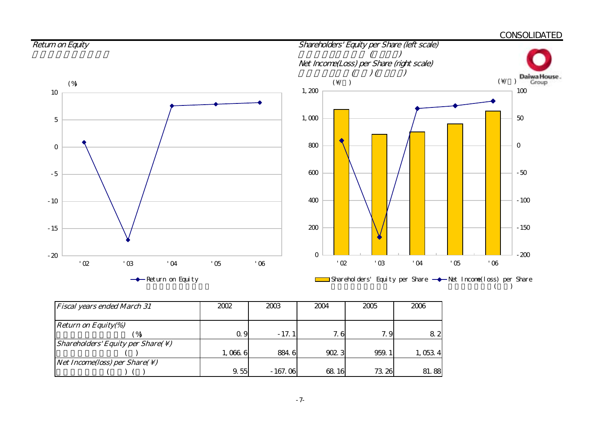

| <b>Fiscal years ended March 31</b>                            | 2002    | 2003      | 2004  | 2005  | 2006    |
|---------------------------------------------------------------|---------|-----------|-------|-------|---------|
|                                                               |         |           |       |       |         |
| <b>Return on Equity(%)</b>                                    |         |           |       |       |         |
|                                                               | Q 9     | $-17.1$   | 7.6   | 7.9   | 82      |
| <i>Shareholders' Equity per Share(<math>\setminus</math>)</i> |         |           |       |       |         |
|                                                               | 1,066.6 | 8846      | 902.3 | 959.1 | 1,053,4 |
| <i>Net Income(loss) per Share(<math>\setminus</math>)</i>     |         |           |       |       |         |
|                                                               | 9.55    | $-167.06$ | 68.16 | 73.26 | 81.88   |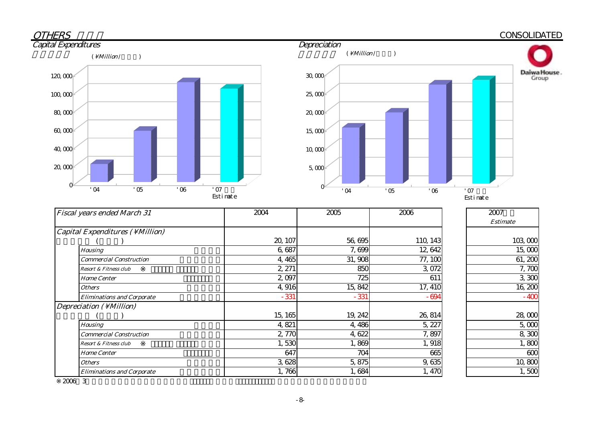#### **OTHERS Depreciation**<br> **CONSOLIDATED Capital Expenditures**  $120,000$ <sup> $\leq$ </sup>  $30,000$  $(\ \Million / \ \ )$





| <b>Fiscal years ended March 31</b> | 2004    | 2005    | 2006     | 2007            |
|------------------------------------|---------|---------|----------|-----------------|
|                                    |         |         |          | <b>Estimate</b> |
| Capital Expenditures (\ Million)   |         |         |          |                 |
|                                    | 20, 107 | 56,695  | 110, 143 | 103,000         |
| <b>Housing</b>                     | 6,687   | 7,699   | 12,642   | 15,000          |
| <b>Commercial Construction</b>     | 4,465   | 31,908  | 77, 100  | 61, 200         |
| <b>Resort &amp; Fitness club</b>   | 2, 271  | 850     | 3,072    | 7,700           |
| <b>Home Center</b>                 | 2,097   | 725     | 611      | 3,300           |
| <b>Others</b>                      | 4,916   | 15,842  | 17, 410  | 16,200          |
| <b>Eliminations and Corporate</b>  | $-331$  | $-331$  | $-694$   | $-400$          |
| Depreciation (\Million)            |         |         |          |                 |
|                                    | 15, 165 | 19, 242 | 26, 814  | 28,000          |
| <b>Housing</b>                     | 4,821   | 4,486   | 5, 227   | 5,000           |
| <b>Commercial Construction</b>     | 2,770   | 4,622   | 7,897    | 8,300           |
| Resort & Fitness club              | 1,530   | 1,869   | 1,918    | 1,800           |
| <b>Home Center</b>                 | 647     | 704     | 665      | 600             |
| <b>Others</b>                      | 3,628   | 5,875   | 9,635    | 10,800          |
| <b>Eliminations and Corporate</b>  | 1,766   | 1,684   | 1,470    | 1,500           |

※2006年3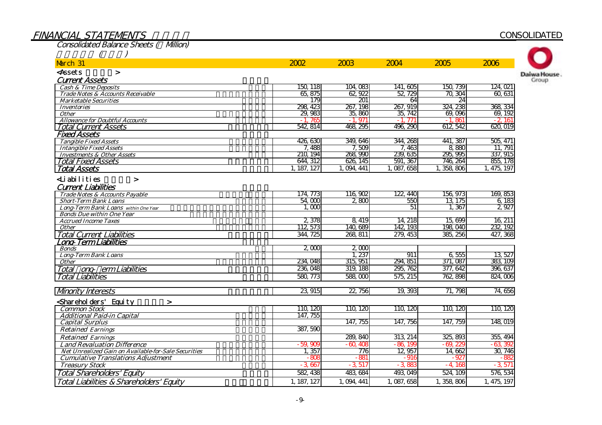# FINANCIAL STATEMENTS

#### **CONSOLIDATED**

| <b>Consolidated Balance Sheets (Million)</b>                  |             |                 |           |           |             |
|---------------------------------------------------------------|-------------|-----------------|-----------|-----------|-------------|
|                                                               |             |                 |           |           |             |
| March 31                                                      | 2002        | 2003            | 2004      | 2005      | 2006        |
| <assets<br><math>\geq</math></assets<br>                      |             |                 |           |           |             |
| <b>Current Assets</b>                                         |             |                 |           |           |             |
| <b>Cash &amp; Time Deposits</b>                               | 150 118     | 104,083         | 141, 605  | 150, 739  | 124, 021    |
| Trade Notes & Accounts Receivable                             | 65,875      | 62.922          | 52, 729   | 70.304    | 60, 631     |
| <b>Marketable Securities</b>                                  | 179         | 201             | 64        | 24        |             |
| <b>Inventories</b>                                            | 298, 423    | 267, 198        | 267, 919  | 324, 238  | 368, 334    |
| <b>Other</b>                                                  | 29,983      | 35,860          | 35, 742   | 69,096    | 69, 192     |
| <b>Allowance for Doubtful Accounts</b>                        | $-1.765$    | $-1.971$        | $-1,771$  | $-1.861$  | $-2,161$    |
| <b>Total Current Assets</b>                                   | 542814      | 468, 295        | 496, 290  | 612 542   | 620,019     |
| <b>Fixed Assets</b>                                           |             |                 |           |           |             |
| <b>Tangible Fixed Assets</b>                                  | 426,630     | 349, 646        | 344, 268  | 441, 387  | 505, 471    |
| <b>Intangible Fixed Assets</b>                                | 7.488       | 7,509           | 7,463     | 8,880     | 11, 791     |
| <b>Investments &amp; Other Assets</b>                         | 210, 194    | 268, 990        | 239, 635  | 295, 995  | 337, 915    |
| <b>Total Fixed Assets</b>                                     | 644, 312    | 626, 145        | 591, 367  | 746, 264  | 855, 178    |
| <b>Total Assets</b>                                           | 1, 187, 127 | , 094, 441<br>1 | 1,087,658 | 1,358,806 | 1,475,197   |
| <b>∠Liabilities</b><br>$\geq$                                 |             |                 |           |           |             |
| <b>Current Liabilities</b>                                    |             |                 |           |           |             |
| Trade Notes & Accounts Payable                                | 174, 773    | 116,902         | 122, 440  | 156, 973  | 169, 853    |
| <b>Short-Term Bank Loans</b>                                  | 54,000      | 2800            | 550       | 13, 175   | 6,183       |
| Long-Term Bank Loans within One Year                          | 1.000       |                 | 51        | 1,367     | 2,927       |
| <b>Bonds Due within One Year</b>                              |             |                 |           |           |             |
| <b>Accrued Income Taxes</b>                                   | 2,378       | 8,419           | 14, 218   | 15,699    | 16, 211     |
| <b>Other</b>                                                  | 112, 573    | 140,689         | 142, 193  | 198,040   | 232, 192    |
| <b>Total Current Liabilities</b>                              | 344, 725    | 268, 811        | 279, 453  | 385, 256  | 427, 368    |
| Lono-Term Liabilities                                         |             |                 |           |           |             |
| <b>Bonds</b>                                                  | 2000        | 2,000           |           |           |             |
| <b>Long-Term Bank Loans</b>                                   |             | 1,237           | 911       | 6 555     | 13, 527     |
| Other                                                         | 234.048     | 315, 951        | 294, 851  | 371, 087  | 383, 109    |
| Total ong erm Liabilities                                     | 236, 048    | 319, 188        | 295, 762  | 377, 642  | 396, 637    |
| <b>Total Liabilities</b>                                      | 580, 773    | 588,000         | 575, 215  | 762, 898  | 824,006     |
|                                                               |             |                 |           |           |             |
| <b>Mnority Interests</b>                                      | 23,915      | 22, 756         | 19, 393   | 71, 798   | 74,656      |
| <shareholders' equity<br=""><math>\geq</math></shareholders'> |             |                 |           |           |             |
| <b>Common Stock</b>                                           | 110, 120    | 110, 120        | 110, 120  | 110, 120  | 110, 120    |
| <b>Additional Paid-in Capital</b>                             | 147, 755    |                 |           |           |             |
| <b>Capital Surplus</b>                                        |             | 147, 755        | 147, 756  | 147, 759  | 148,019     |
| <b>Retained Earnings</b>                                      | 387,590     |                 |           |           |             |
| <b>Retained Earnings</b>                                      |             | 289, 840        | 313, 214  | 325, 893  | 355, 494    |
| <b>Land Revaluation Difference</b>                            | $-59,900$   | $-60,400$       | $-86,199$ | $-69,22$  | $-63,392$   |
| Net Unrealized Gain on Available-for-Sale Securities          | 1,357       | 776             | 12,957    | 14 662    | 30, 746     |
| <b>Cumulative Translations Adjustment</b>                     | $-805$      | $-88$           | $-916$    | $-927$    | $-88$       |
| <b>Treasury Stock</b>                                         | $-3,667$    | $-3,517$        | $-3,880$  | $-4.168$  | $-3,571$    |
| <b>Total Shareholders' Equity</b>                             | 582, 438    | 483, 684        | 493, 049  | 524, 109  | 576, 534    |
|                                                               |             |                 |           |           |             |
| Total Liabilities & Shareholders' Equity                      | 1, 187, 127 | 1, 094, 441     | 1,087,658 | 1,358,806 | 1, 475, 197 |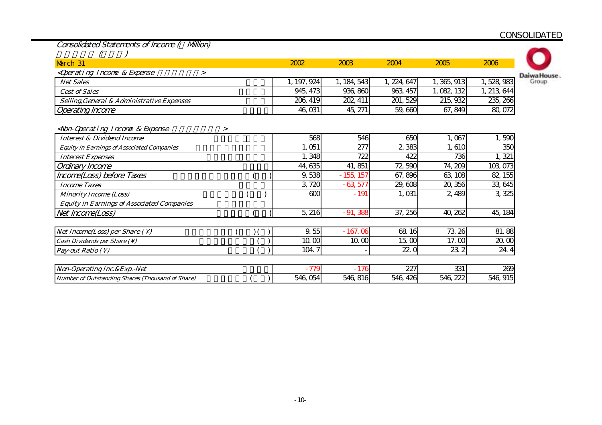Consolidated Statements of Income ( Million)

| $\sqrt{ }$ |  |
|------------|--|

| March 31                                                                                                                  | 2002        | 2003        | 2004        | 2005       | 2006        |             |
|---------------------------------------------------------------------------------------------------------------------------|-------------|-------------|-------------|------------|-------------|-------------|
| <qperating &="" expense<="" income="" td=""><td></td><td></td><td></td><td></td><td></td><td>Daiwa House</td></qperating> |             |             |             |            |             | Daiwa House |
| <b>Net Sales</b>                                                                                                          | 1, 197, 924 | ., 184, 543 | l, 224, 647 | . 365, 913 | .528,983    | Group       |
| <b>Cost of Sales</b>                                                                                                      | 945, 473    | 936, 860    | 963, 457    | , 082, 132 | l, 213, 644 |             |
| Selling, General & Administrative Expenses                                                                                | 206, 419    | 202, 411    | 201, 529    | 215, 932   | 235, 266    |             |
| <b>Operating Income</b>                                                                                                   | 46,031      | 45, 271     | 59,660      | 67, 849    | 80,072      |             |

#### <Non-Operating Income & Expense  $\rightarrow$

| <b>Interest &amp; Dividend Income</b>                   | 568      | 546         | 650      | 1,067    | 1,590    |
|---------------------------------------------------------|----------|-------------|----------|----------|----------|
| <b>Equity in Earnings of Associated Companies</b>       | 1,051    | 277         | 2,383    | 1,610    | 350      |
| <b>Interest Expenses</b>                                | 1,348    | 722         | 422      | 736      | 1, 321   |
| Ordinary Income                                         | 44, 635  | 41,851      | 72,590   | 74, 209  | 103, 073 |
| Income(Loss) before Taxes                               | 9,538    | $-155, 157$ | 67,896   | 63, 108  | 82, 155  |
| <b>Income Taxes</b>                                     | 3,720    | $-63,577$   | 29,608   | 20, 356  | 33,645   |
| <b>Minority Income (Loss)</b>                           | 600      | $-191$      | 1,031    | 2,489    | 3,325    |
| <b>Equity in Earnings of Associated Companies</b>       |          |             |          |          |          |
| Net Income(Loss)                                        | 5,216    | $-91,388$   | 37, 256  | 40, 262  | 45, 184  |
| Net Income(Loss) per Share $( \setminus )$              | 9.55     | $-167.06$   | 68 16    | 73.26    | 81.88    |
| Cash Dividends per Share $(\setminus)$                  | 10.00    | 10.00       | 15.00    | 17.00    | 20.00    |
| <i>Pay-out Ratio</i> $( \setminus )$                    | 104.7    |             | 22.0     | 23.2     | 24.4     |
| Non-Operating Inc. & Exp. - Net                         | - 779    | $-176$      | 227      | 331      | 269      |
| <b>Number of Outstanding Shares (Thousand of Share)</b> | 546, 054 | 546, 816    | 546, 426 | 546, 222 | 546, 915 |
|                                                         |          |             |          |          |          |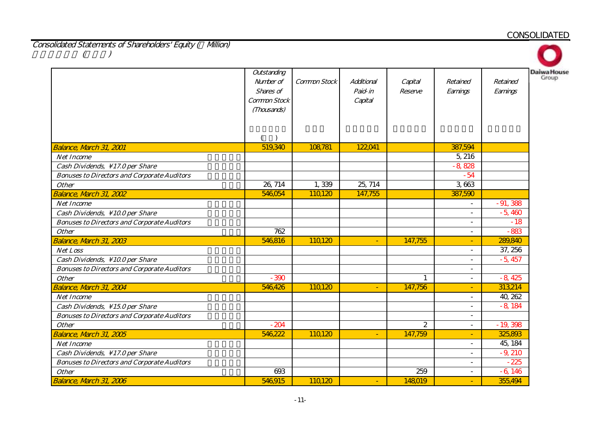Consolidated Statements of Shareholders' Equity (Willion)<br>()  $($ 

|                                                    | Outstanding<br>Number of<br>Shares of<br>Common Stock<br>(Thousands) | Common Stock | Additional<br>Paid-in<br>Capital | Capital<br>Reserve | Retained<br>Earnings     | Retained<br>Earnings | <b>Daiwa House</b><br>Group |
|----------------------------------------------------|----------------------------------------------------------------------|--------------|----------------------------------|--------------------|--------------------------|----------------------|-----------------------------|
| <b>Balance, March 31, 2001</b>                     | 519,340                                                              | 108,781      | 122,041                          |                    | 387,594                  |                      |                             |
| <b>Net Income</b>                                  |                                                                      |              |                                  |                    | 5, 216                   |                      |                             |
| Cash Dividends, \17.0 per Share                    |                                                                      |              |                                  |                    | $-8,828$                 |                      |                             |
| <b>Bonuses to Directors and Corporate Auditors</b> |                                                                      |              |                                  |                    | $-54$                    |                      |                             |
| <b>Other</b>                                       | 26, 714                                                              | 1,339        | 25, 714                          |                    | 3,663                    |                      |                             |
| Balance, March 31, 2002                            | 546,054                                                              | 110,120      | 147,755                          |                    | 387,590                  |                      |                             |
| <b>Net Income</b>                                  |                                                                      |              |                                  |                    | $\overline{a}$           | $-91,388$            |                             |
| Cash Dividends, \10.0 per Share                    |                                                                      |              |                                  |                    | $\overline{\phantom{a}}$ | $-5,460$             |                             |
| <b>Bonuses to Directors and Corporate Auditors</b> |                                                                      |              |                                  |                    | $\sim$                   | $-18$                |                             |
| <b>Other</b>                                       | 762                                                                  |              |                                  |                    |                          | $-883$               |                             |
| Balance, March 31, 2003                            | 546,816                                                              | 110,120      | $\blacksquare$                   | 147,755            |                          | 289,840              |                             |
| <b>Net Loss</b>                                    |                                                                      |              |                                  |                    | $\overline{\phantom{a}}$ | 37, 256              |                             |
| Cash Dividends, \10.0 per Share                    |                                                                      |              |                                  |                    | $\overline{\phantom{a}}$ | $-5,457$             |                             |
| <b>Bonuses to Directors and Corporate Auditors</b> |                                                                      |              |                                  |                    |                          |                      |                             |
| <b>Other</b>                                       | $-390$                                                               |              |                                  |                    | $\overline{\phantom{a}}$ | $-8,425$             |                             |
| Balance, March 31, 2004                            | 546,426                                                              | 110,120      | $\equiv$                         | 147,756            |                          | 313,214              |                             |
| <b>Net Income</b>                                  |                                                                      |              |                                  |                    |                          | 40, 262              |                             |
| Cash Dividends, $\setminus$ 15.0 per Share         |                                                                      |              |                                  |                    | $\overline{\phantom{a}}$ | $-8,184$             |                             |
| <b>Bonuses to Directors and Corporate Auditors</b> |                                                                      |              |                                  |                    | $\overline{\phantom{a}}$ |                      |                             |
| <b>Other</b>                                       | $-204$                                                               |              |                                  | 2                  | $\blacksquare$           | $-19,398$            |                             |
| Balance, March 31, 2005                            | 546,222                                                              | 110120       | $\blacksquare$                   | 147,759            | $\blacksquare$           | 325,893              |                             |
| <b>Net Income</b>                                  |                                                                      |              |                                  |                    | $\overline{a}$           | 45, 184              |                             |
| Cash Dividends, \17.0 per Share                    |                                                                      |              |                                  |                    |                          | $-9,210$             |                             |
| <b>Bonuses to Directors and Corporate Auditors</b> |                                                                      |              |                                  |                    | $\overline{\phantom{a}}$ | $-225$               |                             |
| <b>Other</b>                                       | 693                                                                  |              |                                  | 259                | $\sim$                   | $-6,146$             |                             |
| Balance, March 31, 2006                            | 546,915                                                              | 110120       | $\overline{\phantom{0}}$         | 148019             |                          | 355,494              |                             |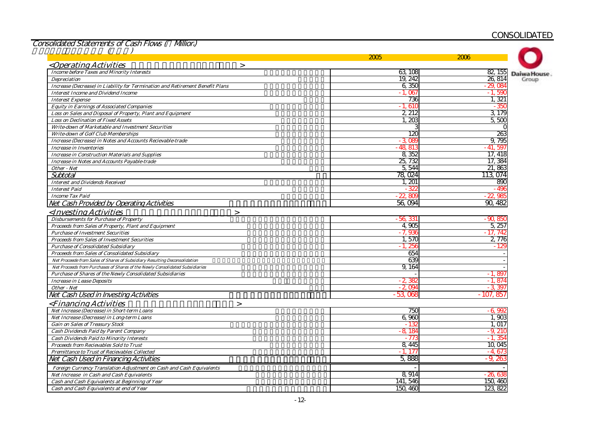Consolidated Statements of Cash Flows ( Million)

|                                                                               | 2005      | 2006              |
|-------------------------------------------------------------------------------|-----------|-------------------|
| <operating activities<br=""><math>\geq</math></operating>                     |           |                   |
| <b>Income before Taxes and Minority Interests</b>                             | 63, 108   | 82, 155           |
| <b>Depreciation</b>                                                           | 19, 242   | 26, 814<br>Group  |
| Increase (Decrease) in Liability for Termination and Retirement Benefit Plans | 6,350     | $-29.084$         |
| <b>Interest Income and Dividend Income</b>                                    | $-1.06$   | $-1,590$          |
| <b>Interest Expense</b>                                                       | 736       | 1,321             |
| <b>Equity in Earnings of Associated Companies</b>                             | $-1,610$  | - 350             |
| Loss on Sales and Disposal of Property, Plant and Equipment                   | 2,212     | 3,179             |
| <b>Loss on Declination of Fixed Assets</b>                                    | 1,200     | 5,500             |
| Write-down of Marketable and Investment Securities                            |           |                   |
| <b>Write-down of Golf Club Memberships</b>                                    | 12C       | 263               |
| Increase (Decrease) in Notes and Accounts Recievable-trade                    | $-3.08$   | 9,795             |
| <b>Increase in Inventories</b>                                                | $-48,81$  | - 41.<br>597      |
| <b>Increase in Construction Materials and Supplies</b>                        | 8,352     | 17, 418           |
| Increase in Notes and Accounts Payable-trade                                  | 25,732    | 17, 384           |
| Other - Net                                                                   | 5,544     | 21,863            |
| Subtotal                                                                      | 78,024    | 113, 074          |
| <b>Interest and Dividends Received</b>                                        | 1, 201    | 890               |
| <b>Interest Paid</b>                                                          | 32        | - 496             |
| <b>Income Tax Paid</b>                                                        | $-22.80$  | 22.98             |
| Net Cash Provided by Operating Activities                                     | 56,094    | 90,482            |
| <investing activities<br=""><math>\geq</math></investing>                     |           |                   |
| <b>Disbursements for Purchase of Property</b>                                 | $-56,331$ | - 90, 850         |
| Proceeds from Sales of Property, Plant and Equipment                          | 4.905     | 5, 257            |
| <b>Purchase of Investment Securities</b>                                      | $-7,936$  | - 17. 74:         |
| <b>Proceeds from Sales of Investment Securities</b>                           | 1,570     | 2,776             |
| <b>Purchase of Consolidated Subsidiary</b>                                    | - 1. 25   |                   |
| Proceeds from Sales of Consolidated Subsidiary                                | 654       |                   |
| Net Proceede from Sales of Shares of Subsidiary Resulting Deconsolidation     | 639       |                   |
| Net Proceeds from Purchases of Shares of the Newly Consolidated Subsidiaries  | 9,164     |                   |
| Purchase of Shares of the Newly Consolidated Subsidiaries                     |           | $-1.897$          |
| <b>Increase in Lease Deposits</b>                                             | $-2,38$   | - 1. 87           |
| Other - Net                                                                   | $-2.09$   | 3                 |
| Net Cash Used in Investing Activities                                         | $-53,068$ | - 107<br>85.      |
| <financing activities<br=""><math>\geq</math></financing>                     |           |                   |
| Net Increase (Decrease) in Short-term Loans                                   | 750       | - 6, 99           |
| Net Increase (Decrease) in Long-term Loans                                    | 6.96C     | 1.90 <sup>c</sup> |
| <b>Gain on Sales of Treasury Stock</b>                                        | $-13$     | 1.017             |
| Cash Dividends Paid by Parent Company                                         | $-8.18$   | - 9. 210          |
| <b>Cash Dividends Paid to Minority Interests</b>                              | - 773     | $-1,354$          |
| Proceeds from Recievables Sold to Trust                                       | 8,445     | 10,045            |
| Premittance to Trust of Recievables Collected                                 | $-1.17$   | $-4.67$           |
| Net Cash Used in Financing Activities                                         | 5,888     | $-9,26$           |
| Foreign Currency Translation Adjustment on Cash and Cash Equivalents          |           |                   |
| Net Increase in Cash and Cash Equivalents                                     | 8,914     | $-26,63$          |
|                                                                               | 141,546   | 150, 460          |
| Cash and Cash Equivalents at Beginning of Year                                |           |                   |
| Cash and Cash Equivalents at end of Year                                      | 150, 460  | 123, 822          |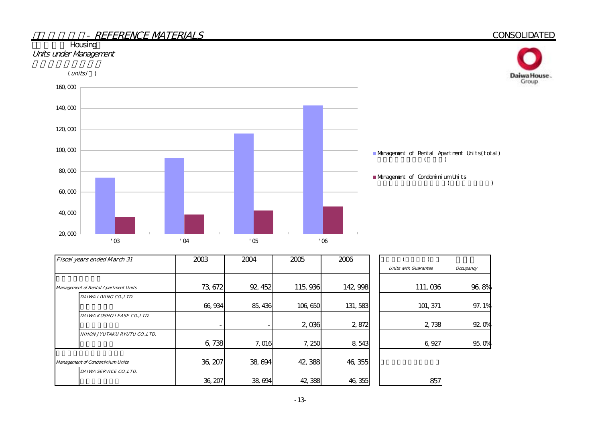



| Fiscal years ended March 31                 | 2003                     | 2004    | 2005    | 2006     |                             |                    |
|---------------------------------------------|--------------------------|---------|---------|----------|-----------------------------|--------------------|
|                                             |                          |         |         |          | <b>Units with Guarantee</b> | <b>Occupancy</b>   |
|                                             |                          |         |         |          |                             |                    |
| <b>Management of Rental Apartment Units</b> | 73, 672                  | 92, 452 | 115,936 | 142, 998 | 111,036                     | 96.8%              |
| DAIWA LIVING CO., LTD.                      |                          |         |         |          |                             |                    |
|                                             | 66,934                   | 85, 436 | 106,650 | 131, 583 | 101, 371                    | 97.1%              |
| DAIWA KOSHO LEASE CO.,LTD.                  |                          |         |         |          |                             |                    |
|                                             | $\overline{\phantom{a}}$ |         | 2,036   | 2,872    | 2,738                       | 92. O <sub>%</sub> |
| NIHON JYUTAKU RYUTU CO.,LTD.                |                          |         |         |          |                             |                    |
|                                             | 6,738                    | 7,016   | 7,250   | 8,543    | 6,927                       | 95.0%              |
|                                             |                          |         |         |          |                             |                    |
| <b>Management of Condominium Units</b>      | 36, 207                  | 38,694  | 42,388  | 46, 355  |                             |                    |
| DAIWA SERVICE CO., LTD.                     |                          |         |         |          |                             |                    |
|                                             | 36, 207                  | 38,694  | 42,388  | 46, 355  | 857                         |                    |

#### **CONSOLIDATED**

Daiwa House.<br>Group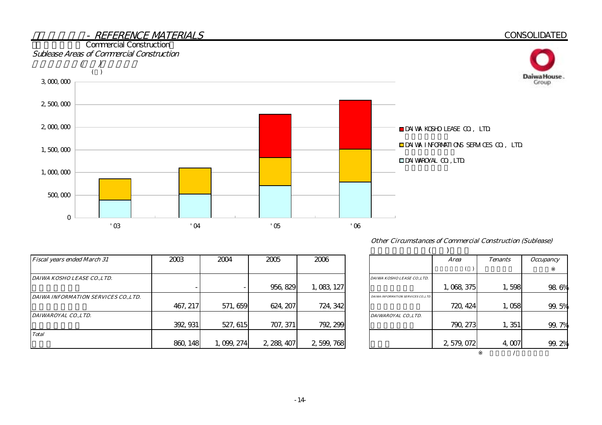

| <b>Other Circumstances of Commercial Construction (Sublease)</b> |  |  |
|------------------------------------------------------------------|--|--|
|                                                                  |  |  |

| <b>Fiscal years ended March 31</b>   | 2003     | 2004        | 2005        | 2006        |                                      | Area      | <b>Tenants</b> | <i><b>Occupancy</b></i> |
|--------------------------------------|----------|-------------|-------------|-------------|--------------------------------------|-----------|----------------|-------------------------|
|                                      |          |             |             |             |                                      |           |                |                         |
| DAIWA KOSHO LEASE COLTD.             |          |             |             |             | DAIWA KOSHO LEASE CO., LTD.          |           |                |                         |
|                                      |          |             | 956, 829    | 1,083,127   |                                      | 1,068,375 | 1,598          | 98                      |
| DAIWA INFORMATION SERVICES CO., LTD. |          |             |             |             | DAIWA INFORMATION SERVICES CO., LTD. |           |                |                         |
|                                      | 467, 217 | 571, 659    | 624, 207    | 724, 342    |                                      | 720, 424  | 1,058          | 99.                     |
| DAIWAROYAL CO., LTD.                 |          |             |             |             | DAIWAROYAL COLTD.                    |           |                |                         |
|                                      | 392, 931 | 527, 615    | 707, 371    | 792, 299    |                                      | 790, 273  | 1,351          | 99.                     |
| <b>Total</b>                         |          |             |             |             |                                      |           |                |                         |
|                                      | 860, 148 | 1, 099, 274 | 2, 288, 407 | 2, 599, 768 |                                      | 2,579,072 | 4,007          | 99.                     |

|                                      | <b>Area</b> | <b>Tenants</b> | <b>Occupancy</b> |
|--------------------------------------|-------------|----------------|------------------|
|                                      |             |                |                  |
| DAIWA KOSHO LEASE CO., LTD.          |             |                |                  |
|                                      | 1,068,375   | 1,598          | 98.6%            |
| DAIWA INFORMATION SERVICES CO., LTD. |             |                |                  |
|                                      | 720, 424    | 1,058          | 99.5%            |
| DAIWAROYAL COLTD.                    |             |                |                  |
|                                      | 790, 273    | 1, 351         | 99.7%            |
|                                      |             |                |                  |
|                                      | 2,579,072   | 4.007          | 99. 2%           |
|                                      |             |                |                  |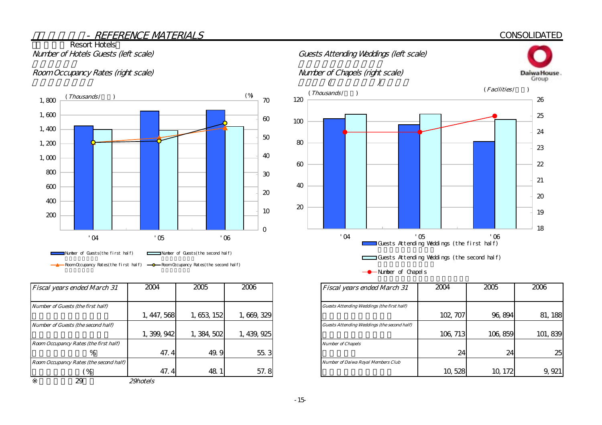#### **CONSOLIDATED**

# **Resort Hotels**



| <b>Fiscal years ended March 31</b>     | 2004        | 2005        | 2006        | <b>Fiscal years ended March 31</b>                |
|----------------------------------------|-------------|-------------|-------------|---------------------------------------------------|
| Number of Guests (the first half)      |             |             |             | <b>Guests Attending Weddings (the first half)</b> |
|                                        | 1, 447, 568 | 1,653, 152  | 1,669,329   |                                                   |
| Number of Guests (the second half)     |             |             |             | Guests Attending Weddings (the second half)       |
|                                        | 1, 399, 942 | 1, 384, 502 | 1, 439, 925 |                                                   |
| Room Occupancy Rates (the first half)  |             |             |             | <b>Number of Chapels</b>                          |
| %                                      | 47.4        | 49.9        | 55.3        |                                                   |
| Room Occupancy Rates (the second half) |             |             |             | <b>Number of Daiwa Royal Members Club</b>         |
| $\frac{9}{6}$                          | 47.4        | 48          | 57.8        |                                                   |
| 29                                     | 29hotels    |             |             |                                                   |



-- Number of Chapels

| <b>Fiscal years ended March 31</b>          | 2004     | 2005    | 2006     |
|---------------------------------------------|----------|---------|----------|
|                                             |          |         |          |
| Guests Attending Weddings (the first half)  |          |         |          |
|                                             | 102, 707 | 96,894  | 81, 188  |
| Guests Attending Weddings (the second half) |          |         |          |
|                                             | 106, 713 | 106,859 | 101, 839 |
| <b>Number of Chapels</b>                    |          |         |          |
|                                             | 24       | 24      | 25       |
| <b>Number of Daiwa Royal Members Club</b>   |          |         |          |
|                                             | 10,528   | 10, 172 |          |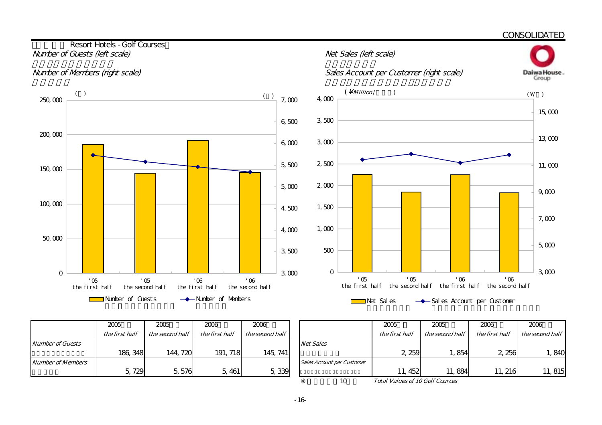

|                         | 2005           | 2005            | 2006           | 2006            |                                   |
|-------------------------|----------------|-----------------|----------------|-----------------|-----------------------------------|
|                         | the first half | the second half | the first half | the second half |                                   |
| <b>Number of Guests</b> |                |                 |                |                 | <b>Net Sales</b>                  |
|                         | 186, 348       | 144, 720        | 191, 718       | 145, 741        |                                   |
| Number of Members       |                |                 |                |                 | <b>Sales Account per Customer</b> |
|                         | 5,729          | 5,576           | 5, 461         | 5,339           |                                   |

| 2005           | 2005            | 2006           | 2006            |                                   | 2005                                   | 2005            | 2006           | 2006            |
|----------------|-----------------|----------------|-----------------|-----------------------------------|----------------------------------------|-----------------|----------------|-----------------|
| the first half | the second half | the first half | the second half |                                   | the first half                         | the second half | the first half | the second half |
|                |                 |                |                 | <b>Net Sales</b>                  |                                        |                 |                |                 |
| 186, 348       | 144, 720        | 191, 718       | 145, 741        |                                   | 2 259                                  | .854            | 2,256          | , 840           |
|                |                 |                |                 | <b>Sales Account per Customer</b> |                                        |                 |                |                 |
| 5,729          | 5,576           | 5, 461         | 5,339           |                                   | 11, 452                                | 11,884          | 11, 216        | 11, 815         |
|                |                 |                |                 | 10                                | <b>Total Values of 10 Golf Cources</b> |                 |                |                 |

Total Values of 10 Golf Cources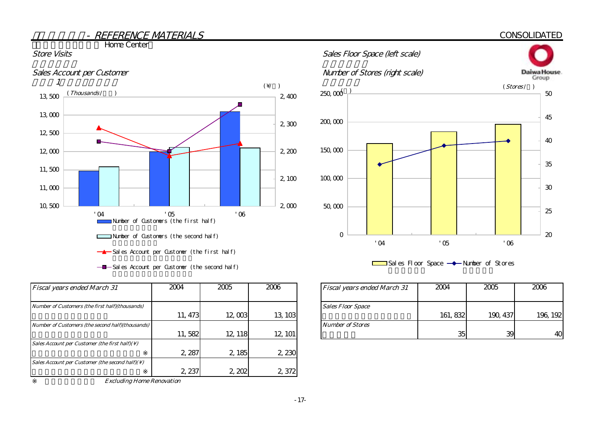#### **CONSOLIDATED**



**The Home Center** 



 $-\blacksquare$  Sales Account per Customer (the second half)

| <b>Fiscal years ended March 31</b>                          | 2004    | 2005    | 2006    | Fiscal years ended March 31 |
|-------------------------------------------------------------|---------|---------|---------|-----------------------------|
| Number of Customers (the first half)(thousands)             |         |         |         | <b>Sales Floor Space</b>    |
|                                                             | 11, 473 | 12,003  | 13, 103 |                             |
| Number of Customers (the second half)(thousands)            |         |         |         | <b>Number of Stores</b>     |
|                                                             | 11,582  | 12, 118 | 12, 101 |                             |
| Sales Account per Customer (the first half)( $\setminus$ )  |         |         |         |                             |
|                                                             | 2,287   | 2, 185  | 2,230   |                             |
| Sales Account per Customer (the second half)( $\setminus$ ) |         |         |         |                             |
|                                                             | 2, 237  | 2,202   | 2,372   |                             |

Excluding Home Renovation



 $\Box$ Sales Floor Space  $\rightarrow$  Number of Stores

| 2004    | 2005    | 2006    | <b>Fiscal years ended March 31</b> | 2004     | 2005     | 2006     |
|---------|---------|---------|------------------------------------|----------|----------|----------|
|         |         |         | <b>Sales Floor Space</b>           |          |          |          |
| 11, 473 | 12,003  | 13, 103 |                                    | 161, 832 | 190, 437 | 196, 192 |
|         |         |         | <b>Number of Stores</b>            |          |          |          |
| 11,582  | 12, 118 | 12, 101 |                                    | 35       | 39       | 40       |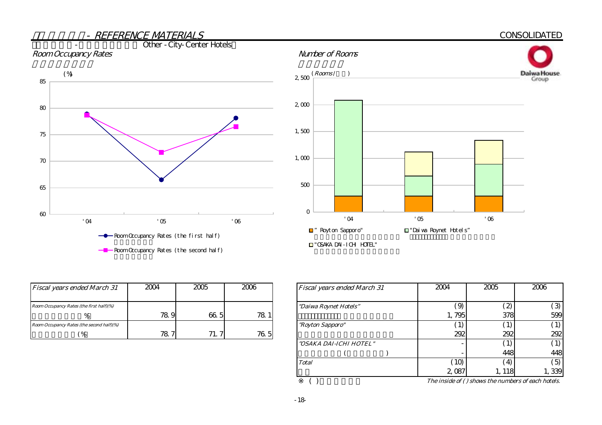

| <b>Fiscal years ended March 31</b>        | 2004 | 2005         | 2006            | <b>Fiscal years ended March 31</b> |
|-------------------------------------------|------|--------------|-----------------|------------------------------------|
| Room Occupancy Rates (the first half)(%)  |      |              |                 | "Daiwa Roynet Hotels"              |
|                                           | 78.9 | 66.5         | 78 <sub>1</sub> |                                    |
| Room Occupancy Rates (the second half)(%) |      |              |                 | <i>"Royton Sapporo"</i>            |
| $\%$                                      | 78.7 | 71<br>$\sim$ | 76.5            |                                    |

|   | 2006 | <b>Fiscal years ended March 31</b> | 2004            | 2005           | 2006                                                     |
|---|------|------------------------------------|-----------------|----------------|----------------------------------------------------------|
|   |      |                                    |                 |                |                                                          |
|   |      | "Daiwa Roynet Hotels"              | $\dot{9}$       | $\mathbf{2}$   | $\mathcal{L}$                                            |
| 5 | 78.  |                                    | 1,795           | 378            | 599                                                      |
|   |      | "Royton Sapporo"                   | (1)             | (1)            | $\left( \begin{smallmatrix} 1 \end{smallmatrix} \right)$ |
| 7 | 76.5 |                                    | 292             | 292            | 292                                                      |
|   |      | "OSAKA DAI-ICHI HOTEL"             |                 | $\ket{1}$      |                                                          |
|   |      |                                    |                 | 448            | 448                                                      |
|   |      | <b>Total</b>                       | 10 <sup>1</sup> | $\overline{4}$ | $\overline{5}$                                           |
|   |      |                                    | 2,087           | 1, 118         | 1,339                                                    |

( )  $The inside of () shows the numbers of each hotels.$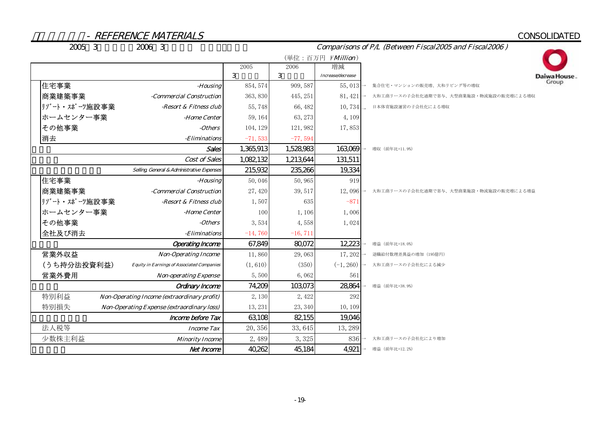## CONSOLIDATED

Daiwa House.

| 2005 3        | 2006 3                                            | Comparisons of P/L (Between Fiscal2005 and Fiscal2006) |            |                   |                                        |  |  |  |
|---------------|---------------------------------------------------|--------------------------------------------------------|------------|-------------------|----------------------------------------|--|--|--|
|               |                                                   |                                                        |            | (単位:百万円 ¥Million) |                                        |  |  |  |
|               |                                                   | 2005                                                   | 2006       | 増減                |                                        |  |  |  |
|               |                                                   | 3                                                      | 3          | Increase/decrease |                                        |  |  |  |
| 住宅事業          | -Housing                                          | 854, 574                                               | 909, 587   | 55,013            | 集合住宅・マンションの販売増、大和リビング等の増収              |  |  |  |
| 商業建築事業        | -Commercial Construction                          | 363, 830                                               | 445, 251   | 81, 421           | 大和工商リースの子会社化通期で寄与、大型商業施設・物流施設の販売増による増収 |  |  |  |
| リゾート・スポーツ施設事業 | -Resort & Fitness club                            | 55,748                                                 | 66, 482    | 10,734            | 日本体育施設運営の子会社化による増収                     |  |  |  |
| ホームセンター事業     | -Home Center                                      | 59, 164                                                | 63, 273    | 4,109             |                                        |  |  |  |
| その他事業         | -Others                                           | 104, 129                                               | 121,982    | 17,853            |                                        |  |  |  |
| 消去            | -Eliminations                                     | $-71,533$                                              | $-77,594$  |                   |                                        |  |  |  |
|               | Sales                                             | 1,365,913                                              | 1,528,983  | 163,069           | 増収 (前年比+11.9%)                         |  |  |  |
|               | Cost of Sales                                     | 1,082,132                                              | 1,213,644  | 131,511           |                                        |  |  |  |
|               | Selling General & Administrative Expenses         | 215,932                                                | 235,266    | 19,334            |                                        |  |  |  |
| 住宅事業          | -Housing                                          | 50,046                                                 | 50,965     | 919               |                                        |  |  |  |
| 商業建築事業        | -Commercial Construction                          | 27, 420                                                | 39, 517    | 12,096            | 大和工商リースの子会社化通期で寄与、大型商業施設·物流施設の販売増による増益 |  |  |  |
| リゾート・スポーツ施設事業 | -Resort & Fitness club                            | 1,507                                                  | 635        | $-871$            |                                        |  |  |  |
| ホームセンター事業     | -Home Center                                      | 100                                                    | 1,106      | 1,006             |                                        |  |  |  |
| その他事業         | -Others                                           | 3,534                                                  | 4,558      | 1,024             |                                        |  |  |  |
| 全社及び消去        | -Eliminations                                     | $-14,760$                                              | $-16, 711$ |                   |                                        |  |  |  |
|               | <b>Operating Income</b>                           | 67,849                                                 | 80,072     | 12,223            | 増益 (前年比+18.0%)                         |  |  |  |
| 営業外収益         | <b>Non-Operating Income</b>                       | 11,860                                                 | 29,063     | 17,202            | 退職給付数理差異益の増加 (195億円)                   |  |  |  |
| (うち持分法投資利益)   | <b>Equity in Earnings of Associated Companies</b> | (1, 610)                                               | (350)      | $(-1, 260)$       | 大和工商リースの子会社化による減少                      |  |  |  |
| 営業外費用         | <b>Non-operating Expense</b>                      | 5,500                                                  | 6,062      | 561               |                                        |  |  |  |
|               | <b>Ordinary Income</b>                            | 74,209                                                 | 103073     | 28,864            | 增益 (前年比+38.9%)                         |  |  |  |
| 特別利益          | Non-Operating Income (extraordinary profit)       | 2,130                                                  | 2,422      | 292               |                                        |  |  |  |
| 特別損失          | <b>Non-Operating Expense (extraordinary loss)</b> | 13, 231                                                | 23, 340    | 10, 109           |                                        |  |  |  |
|               | <b>Income before Tax</b>                          | 63,108                                                 | 82,155     | 19,046            |                                        |  |  |  |
| 法人税等          | <b>Income Tax</b>                                 | 20,356                                                 | 33, 645    | 13, 289           |                                        |  |  |  |
| 少数株主利益        | <b>Minority Income</b>                            | 2,489                                                  | 3,325      | 836               | 大和工商リースの子会社化により増加                      |  |  |  |
|               | Net Income                                        | 40,262                                                 | 45,184     | 4,921             | 増益 (前年比+12.2%)                         |  |  |  |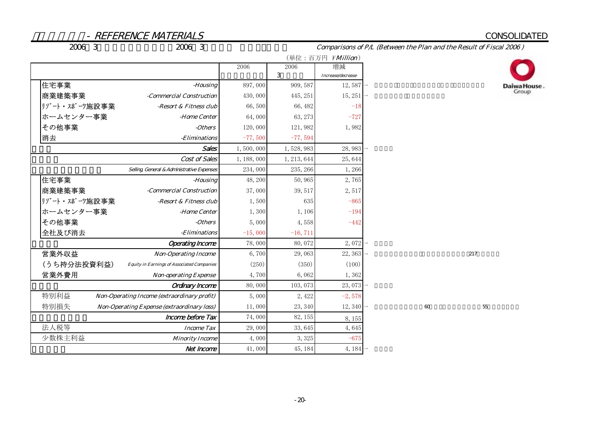#### CONSOLIDATED

2006年3月期中間時修正計画/2006年3月期実績 連結PL比較表

Comparisons of P/L (Between the Plan and the Result of Fiscal 2006 )

|                                                                  |             |             | (単位:百万円 ¥Million) |    |     |             |
|------------------------------------------------------------------|-------------|-------------|-------------------|----|-----|-------------|
|                                                                  | 2006        | 2006        | 増減                |    |     |             |
|                                                                  |             | 3           | Increase/decrease |    |     |             |
| 住宅事業<br>-Housing                                                 | 897,000     | 909, 587    | 12,587            |    |     | Daiwa<br>Gr |
| 商業建築事業<br>-Commercial Construction                               | 430,000     | 445, 251    | 15, 251           |    |     |             |
| リゾート・スポーツ施設事業<br>-Resort & Fitness club                          | 66,500      | 66, 482     | $-18$             |    |     |             |
| ホームセンター事業<br>-Home Center                                        | 64,000      | 63, 273     | $-727$            |    |     |             |
| その他事業<br>-Others                                                 | 120,000     | 121,982     | 1,982             |    |     |             |
| 消去<br>-Eliminations                                              | $-77,500$   | $-77,594$   |                   |    |     |             |
| Sales                                                            | 1,500,000   | 1,528,983   | 28,983            |    |     |             |
| Cost of Sales                                                    | 1, 188, 000 | 1, 213, 644 | 25,644            |    |     |             |
| Selling General & Administrative Expenses                        | 234,000     | 235, 266    | 1,266             |    |     |             |
| 住宅事業<br>-Housing                                                 | 48, 200     | 50,965      | 2,765             |    |     |             |
| 商業建築事業<br>-Commercial Construction                               | 37,000      | 39, 517     | 2,517             |    |     |             |
| リゾート・スポーツ施設事業<br>-Resort & Fitness club                          | 1,500       | 635         | $-865$            |    |     |             |
| ホームセンター事業<br>-Home Center                                        | 1,300       | 1,106       | $-194$            |    |     |             |
| その他事業<br>-Others                                                 | 5,000       | 4,558       | $-442$            |    |     |             |
| 全社及び消去<br>-Eliminations                                          | $-15,000$   | $-16, 711$  |                   |    |     |             |
| <b>Operating Income</b>                                          | 78,000      | 80,072      | 2,072             |    |     |             |
| 営業外収益<br><b>Non-Operating Income</b>                             | 6,700       | 29,063      | 22, 363           |    | 217 |             |
| (うち持分法投資利益)<br><b>Equity in Earnings of Associated Companies</b> | (250)       | (350)       | (100)             |    |     |             |
| 営業外費用<br><b>Non-operating Expense</b>                            | 4,700       | 6,062       | 1,362             |    |     |             |
| Ordinary Income                                                  | 80,000      | 103,073     | 23,073            |    |     |             |
| 特別利益<br>Non-Operating Income (extraordinary profit)              | 5,000       | 2,422       | $-2,578$          |    |     |             |
| 特別損失<br><b>Non-Operating Expense (extraordinary loss)</b>        | 11,000      | 23, 340     | $12,340 -$        | 60 |     | 55          |
| Income before Tax                                                | 74,000      | 82, 155     | 8,155             |    |     |             |
| 法人税等<br><b>Income Tax</b>                                        | 29,000      | 33,645      | 4,645             |    |     |             |
| 少数株主利益<br><b>Minority Income</b>                                 | 4,000       | 3,325       | $-675$            |    |     |             |
| Net Income                                                       | 41,000      | 45, 184     | $4,184 -$         |    |     |             |

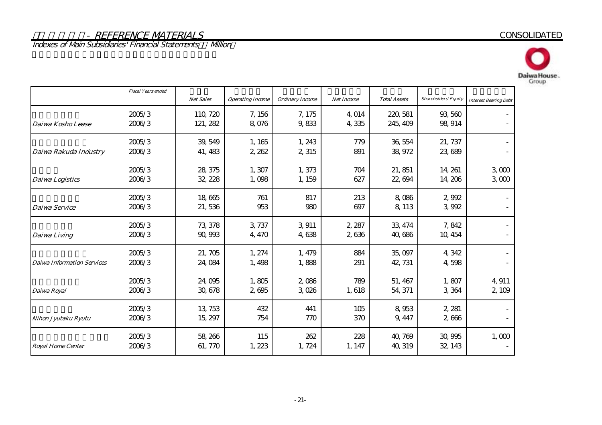Indexes of Main Subsidiaries' Financial Statements – Million





|                                   | <b>Fiscal Years ended</b> | <b>Net Sales</b>     | <b>Operating Income</b> | <b>Ordinary Income</b> | Net Income      | <b>Total Assets</b>  | <b>Shareholders' Equity</b> | <b>Interest Bearing Debt</b> |
|-----------------------------------|---------------------------|----------------------|-------------------------|------------------------|-----------------|----------------------|-----------------------------|------------------------------|
| Daiwa Kosho Lease                 | 2005/3<br>2006/3          | 110, 720<br>121, 282 | 7,156<br>8,076          | 7,175<br>9,833         | 4,014<br>4,335  | 220, 581<br>245, 409 | 93,560<br>98, 914           |                              |
| Daiwa Rakuda Industry             | 2005/3<br>2006/3          | 39, 549<br>41, 483   | 1, 165<br>2,262         | 1,243<br>2,315         | 779<br>891      | 36, 554<br>38, 972   | 21, 737<br>23,689           |                              |
| <b>Daiwa Logistics</b>            | 2005/3<br>2006/3          | 28, 375<br>32, 228   | 1,307<br>1,098          | 1,373<br>1, 159        | 704<br>627      | 21, 851<br>22,694    | 14, 261<br>14, 206          | 3000<br>3000                 |
| Daiwa Service                     | 2005/3<br>2006/3          | 18,665<br>21,536     | 761<br>953              | 817<br>980             | 213<br>697      | 8,086<br>8,113       | 2,992<br>3,992              |                              |
| Daiwa Living                      | 2005/3<br>2006/3          | 73, 378<br>90, 993   | 3,737<br>4,470          | 3,911<br>4,638         | 2, 287<br>2,636 | 33, 474<br>40,686    | 7,842<br>10, 454            |                              |
| <b>Daiwa Information Services</b> | 2005/3<br>2006/3          | 21,705<br>24,084     | 1, 274<br>1,498         | 1, 479<br>1,888        | 884<br>291      | 35,097<br>42, 731    | 4,342<br>4,598              |                              |
| Daiwa Royal                       | 2005/3<br>2006/3          | 24,095<br>30, 678    | 1,805<br>2,695          | 2,086<br>3,026         | 789<br>1,618    | 51, 467<br>54, 371   | 1,807<br>3,364              | 4,911<br>2,109               |
| Nihon Jyutaku Ryutu               | 2005/3<br>2006/3          | 13, 753<br>15, 297   | 432<br>754              | 441<br>770             | 105<br>370      | 8,953<br>9, 447      | 2, 281<br>2,666             |                              |
| <b>Royal Home Center</b>          | 2005/3<br>2006/3          | 58, 266<br>61, 770   | 115<br>1,223            | 262<br>1,724           | 228<br>1, 147   | 40, 769<br>40, 319   | 30,995<br>32, 143           | 1,000                        |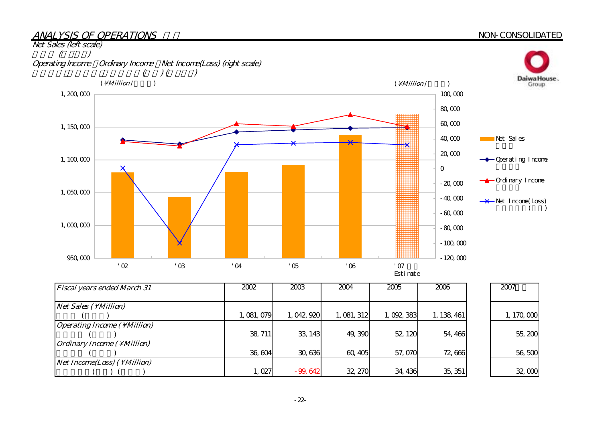#### ANALYSIS OF OPERATIONS

#### NON-CONSOLIDATED



| <b>Fiscal years ended March 31</b>          | 2002        | 2003        | 2004        | 2005      | 2006        | 2007        |
|---------------------------------------------|-------------|-------------|-------------|-----------|-------------|-------------|
|                                             |             |             |             |           |             |             |
| $Net Sales ( \Million)$                     |             |             |             |           |             |             |
|                                             | 1, 081, 079 | 1, 042, 920 | 1, 081, 312 | 1,092,383 | 1, 138, 461 | 1, 170, 000 |
| <i><b>Operating Income ( \ Million)</b></i> |             |             |             |           |             |             |
|                                             | 38, 711     | 33, 143     | 49,390      | 52, 120   | 54,466      | 55,200      |
| <i><b>Ordinary Income ( \ Million)</b></i>  |             |             |             |           |             |             |
|                                             | 36,604      | 30,636      | 60, 405     | 57,070    | 72,666      | 56,500      |
| <i>Net Income(Loss)</i> ( \ <i>Million)</i> |             |             |             |           |             |             |
|                                             | 1,027       | $-99.642$   | 32, 270     | 34, 436   | 35, 351     | 32,000      |

-22-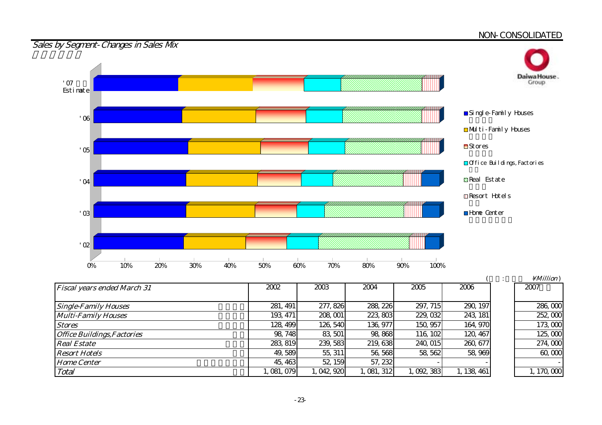#### <u>NON-CONSOLIDATED</u>



| <b>Fiscal years ended March 31</b> | 2002      | 2003        | 2004        | 2005      | 2006        |
|------------------------------------|-----------|-------------|-------------|-----------|-------------|
|                                    |           |             |             |           |             |
| <b>Single-Family Houses</b>        | 281, 491  | 277, 826    | 288, 226    | 297, 715  | 290, 197    |
| <b>Multi-Family Houses</b>         | 193, 471  | 208,001     | 223,803     | 229, 032  | 243, 181    |
| <b>Stores</b>                      | 128, 499  | 126, 540    | 136, 977    | 150, 957  | 164, 970    |
| <b>Office Buildings, Factories</b> | 98, 748   | 83, 501     | 98,868      | 116, 102  | 120, 467    |
| <b>Real Estate</b>                 | 283, 819  | 239, 583    | 219, 638    | 240, 015  | 260, 677    |
| <b>Resort Hotels</b>               | 49,589    | 55, 311     | 56, 568     | 58, 562   | 58,969      |
| <b>Home Center</b>                 | 45, 463   | 52, 159     | 57, 232     |           |             |
| Total                              | 1,081,079 | 1, 042, 920 | 1, 081, 312 | 1,092,383 | 1, 138, 461 |

|                           | <i>Million</i> ) |
|---------------------------|------------------|
|                           | 2007             |
|                           |                  |
| 87                        | 286,000          |
| $\overline{\text{}}$      | 252,000          |
| $\overline{\mathfrak{c}}$ | 173,000          |
| $\overline{7}$            | 125,000          |
| 7                         | 274,000          |
| g                         | 60,000           |
|                           |                  |
| $\overline{\mathbf{1}}$   | 1, 170, 000      |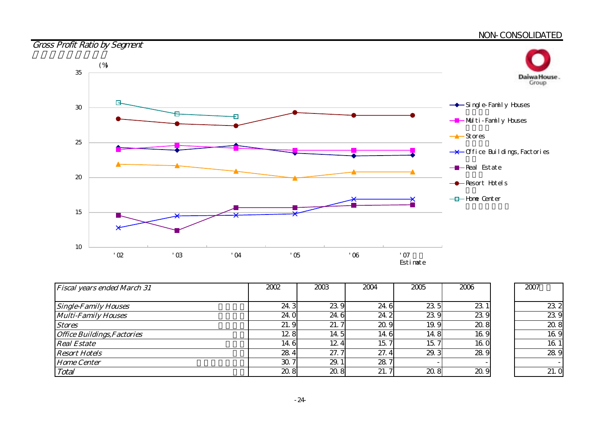#### <u>NON-CONSOLIDATED</u>





| <b>Fiscal years ended March 31</b> | 2002 | 2003 | 2004 | 2005 | 2006 | 2007           |
|------------------------------------|------|------|------|------|------|----------------|
|                                    |      |      |      |      |      |                |
| <b>Single-Family Houses</b>        | 24.3 | 23.9 | 24.6 | 23.5 | 23 1 | $\alpha$       |
| <b>Multi-Family Houses</b>         | 24.0 | 24.6 | 24.2 | 23.9 | 239  | $\mathbf{z}$   |
| <b>Stores</b>                      | 21.9 | 21.7 | 20.9 | 19.9 | 20.8 | $\alpha$       |
| <b>Office Buildings, Factories</b> | 12.8 | 14.5 | 14.6 | 14.8 | 169  | 16             |
| <b>Real Estate</b>                 | 14.6 | 12.4 | 15.7 | 15.7 | 160  | 16             |
| <b>Resort Hotels</b>               | 28.4 | 27.7 | 27.4 | 29.3 | 28.9 | $\mathbf{z}$   |
| <b>Home Center</b>                 | 30.7 | 29.  | 28.7 |      |      |                |
| Total                              | 20.8 | 20.8 | 21.7 | 20.8 | 20.9 | $\overline{2}$ |

| 2007 |                 |
|------|-----------------|
|      | 23 2            |
|      | 23.<br>Ö        |
|      | 20.8            |
|      | 16 <sub>9</sub> |
|      | 16.             |
|      | 28              |
|      |                 |
|      | っ               |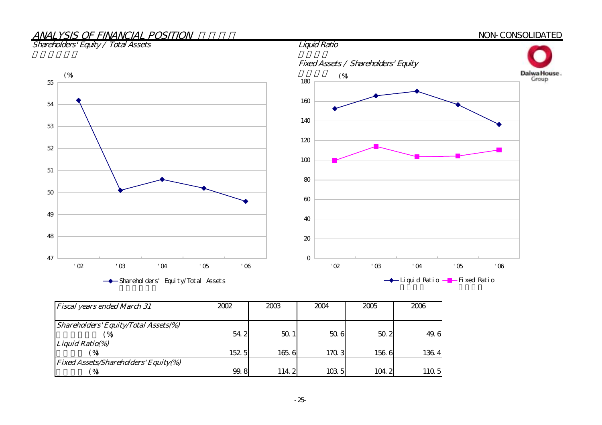# ANALYSIS OF FINANCIAL POSITION

Shareholders' Equity / Total Assets

47

48

49

50

51

52

53

54

55

 NON-CONSOLIDATED Fixed Assets / Shareholders' Equity Daiwa House.<br>Group  $(\%)$  (%) and (%) and (%) and (%) and (%) and (%) and (%) and (%) and (%) and (%) and (%) and (%) and (%) and (%) and (%) and (%) and (%) and (%) and (%) and (%) and (%) and (%) and (%) and (%) and (%) and (%) and (%) and 180 160 140 120100 80 6040 20 0'02 '03 '04 '05 '06

Shareholders' Equity/Total Assets

'02 '03 '04 '05 '06

| → Liquid Ratio – Fixed Ratio |  |
|------------------------------|--|
|------------------------------|--|

| <b>Fiscal years ended March 31</b>          | 2002  | 2003  | 2004  | 2005  | 2006  |
|---------------------------------------------|-------|-------|-------|-------|-------|
|                                             |       |       |       |       |       |
| Shareholders' Equity/Total Assets(%)        |       |       |       |       |       |
|                                             | 54.2  | 50.   | 506   | 50.2  | 49.6  |
| Liquid Ratio(%)                             |       |       |       |       |       |
|                                             | 152.5 | 165.6 | 170.3 | 1566  | 136.4 |
| <b>Fixed Assets/Shareholders' Equity(%)</b> |       |       |       |       |       |
| ′%                                          | 99.8  | 114.2 | 103 5 | 104.2 | 110.5 |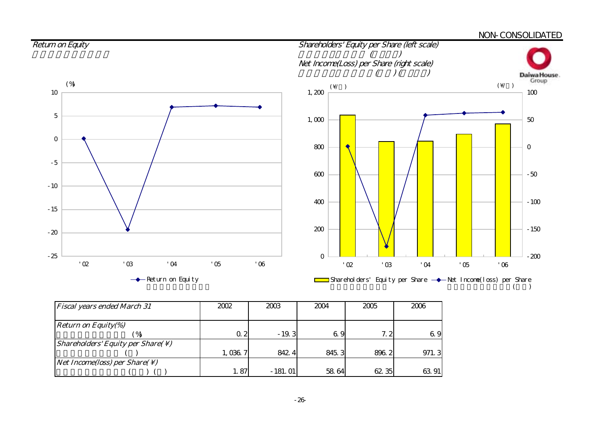#### <u>NON-CONSOLIDATED</u> Return on Equity Shareholders' Equity per Share (left scale)  $($ Net Income(Loss) per Share (right scale)  $($  )(  $)$ Daiwa House.<br>Group  $(\vee)$  ( $\vee$ ) ( $\vee$ ) 1,200 10 100 5 1,000 50 0800 0 -5 600 -50 -10 400 $-100$ -15 200 -150 -20 -25 0 -200 '02 '03 '04 '05 '06 '02 '03 '04 '05 '06 Return on Equity Shareholders' Equity per Share  $\rightarrow$  Net Income(loss) per Share

| <b>Fiscal years ended March 31</b>                            | 2002    | 2003      | 2004  | 2005  | 2006  |
|---------------------------------------------------------------|---------|-----------|-------|-------|-------|
| <i>Return on Equity(%)</i>                                    |         |           |       |       |       |
|                                                               | Q 2     | $-19.3$   | 6.9   | 7.2   | 6.9   |
| <i>Shareholders' Equity per Share(<math>\setminus</math>)</i> |         |           |       |       |       |
|                                                               | 1,036.7 | 842.4     | 845.3 | 896.2 | 971.3 |
| <i>Net Income(loss) per Share(<math>\setminus</math>)</i>     |         |           |       |       |       |
|                                                               | 1.87    | $-181.01$ | 58 64 | 62 35 | 63 91 |

 $($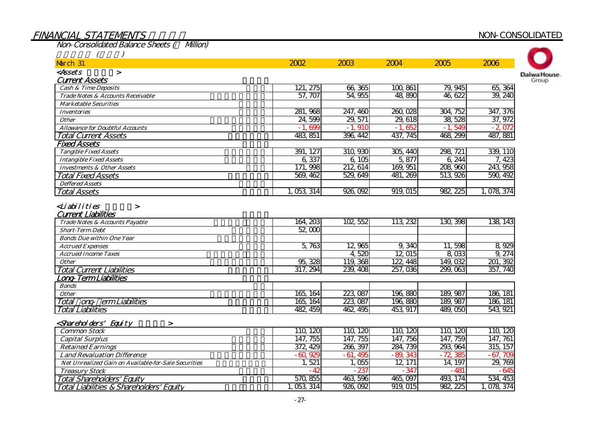### FINANCIAL STATEMENTS NON-CONSOLIDATED

Daiwa House. Group

Non-Consolidated Balance Sheets (¥ Million)  $(1)$ March 31 <*Assets* > Current Assets 流動資産 Cash & Time Deposits Trade Notes & Accounts Receivable Marketable Securities Inventories**Other**  Allowance for Doubtful Accounts Total Current Assets $\mathcal{L}$  , and the contract of the contract of the contract of the contract of the contract of the contract of the contract of the contract of the contract of the contract of the contract of the contract of the contract o Fixed Assets 固定資産 Tangible Fixed Assets Intangible Fixed Assets Investments & Other AssetsTotal Fixed Assets 固定資産合計 Deffered Assets Total Assets 資産合計 $\langle$ Liabilities  $>$ Current Liabilities 流動負債 Trade Notes & Accounts Payable Short-Term Debt Bonds Due within One Year Accrued Expenses Accrued Income Taxes**Other** Total Current Liabilities $\bullet$  . The contract of the contract of the contract of the contract of the contract of the contract of the contract of the contract of the contract of the contract of the contract of the contract of the contract of the co Long-Term Liabilities Bonds **Other** Total ong- erm Liabilities Total Liabilities $\bullet$ <shareholders' Equity > Common Stock Capital Surplus Retained Earnings Land Revaluation Difference Net Unrealized Gain on Available-for-Sale Securities Treasury Stock Total Shareholders' Equity Total Liabilities & Shareholders' Equity 483,851 396,442 437,745 468,299 487,881 391,127 310,930 305,440 298,721  $-1,699$   $-1,910$   $-1,652$   $-1,549$ 24,599 29,571 29,618 38,528 347,376 37,972 -2,072 281,968 247,460 260,028 304,752 79,945 65,364 57,707 54,955 48,890 46,622 39,240  $2002$ 121,275 66,365 100,861  $2003$  $2004$   $2005$   $2006$ 6,337 6,105 5,877 6,244 171,998 212,614 169,951 208,960 569,462 529,649 481,269 513,926 339,110 7,423 243,958 590,492 1,053,314 926,092 919,015 982,225 1,078,374 164,203 102,552 113,232 130,398  $52,000$ 5,763 12,965 9,340 11,598 4,520 12,015 8,033 95,328 119,368 122,448 149,032 317,294 239,408 257,036 299,063 189,987 189,987 165,164 165,164 223,087 223,087 138,143 8,929 9,274 201,392 357,740 186,181 186,181 482,459 462,495 453,917 489,050 543,921 196,880 196,880 110,120 110,120 110,120 110,120 110,120 147, 755 147, 755 147, 756 147, 759 147, 761 372,429 266,397 284,739 293,964 -60,929 -61,495 -89,343 -72,385 1, 521 1, 055 12, 171 14, 197 29, 769  $-67,709$ 315,157  $-645$ 534,453 982,225 1,078,374 493,174 -347 -481 465,097 926,092 919,015 463,596 -42 -237 570,855 1,053,314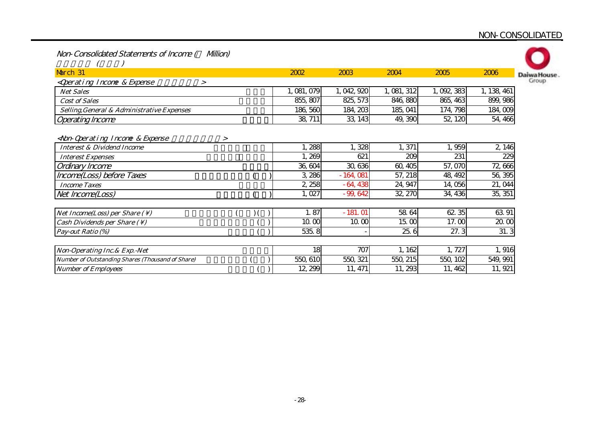#### <u>NON-CONSOLIDATED</u>

| Non-Consolidated Statements of Income ( | Milion) |
|-----------------------------------------|---------|
|-----------------------------------------|---------|

| March 31                                                                      | 2002        | 2003       | 2004        | 2005      | 2006        | Daiwa House |
|-------------------------------------------------------------------------------|-------------|------------|-------------|-----------|-------------|-------------|
| <qperating &="" expense<br="" incone="">&gt;</qperating>                      |             |            |             |           |             | Group       |
| <b>Net Sales</b>                                                              | 1, 081, 079 | 1,042,920  | 1, 081, 312 | 1,092,383 | 1, 138, 461 |             |
| <b>Cost of Sales</b>                                                          | 855, 807    | 825, 573   | 846, 880    | 865, 463  | 899, 986    |             |
| Selling, General & Administrative Expenses                                    | 186, 560    | 184, 203   | 185, 041    | 174, 798  | 184,009     |             |
| <b>Operating Income</b>                                                       | 38, 711     | 33, 143    | 49, 390     | 52, 120   | 54, 466     |             |
|                                                                               |             |            |             |           |             |             |
| <non-qperating &="" expense<br="" incone=""><math>\geq</math></non-qperating> |             |            |             |           |             |             |
| <b>Interest &amp; Dividend Income</b>                                         | 1,288       | 1,328      | 1,371       | 1,959     | 2, 146      |             |
| <b>Interest Expenses</b>                                                      | 269         | 621        | 209         | 231       | 229         |             |
| Ordinary Income                                                               | 36, 604     | 30, 636    | 60,405      | 57,070    | 72,666      |             |
| Income(Loss) before Taxes                                                     | 3,286       | $-164,081$ | 57,218      | 48, 492   | 56, 395     |             |
| <b>Income Taxes</b>                                                           | 2,258       | $-64,438$  | 24, 947     | 14,056    | 21, 044     |             |
| Net Income(Loss)                                                              | 1,027       | $-99,642$  | 32, 270     | 34, 436   | 35, 351     |             |
|                                                                               |             |            |             |           |             |             |
| Net Income(Loss) per Share $( \setminus )$                                    | 1.87        | $-181.01$  | 58 64       | 62.35     | 63 91       |             |
| Cash Dividends per Share $(\setminus)$                                        | 10.00       | 10.00      | 15.00       | 17.00     | 20.00       |             |
| Pay-out Ratio (%)                                                             | 535.8       |            | 25.6        | 27.3      | 31.3        |             |
|                                                                               |             |            |             |           |             |             |
| Non-Operating Inc. & Exp. - Net                                               | 18          | 707        | 1,162       | 1,727     | 1,916       |             |
| Number of Outstanding Shares (Thousand of Share)                              | 550, 610    | 550, 321   | 550, 215    | 550, 102  | 549, 991    |             |
| <b>Number of Employees</b>                                                    | 12, 299     | 11, 471    | 11, 293     | 11, 462   | 11, 921     |             |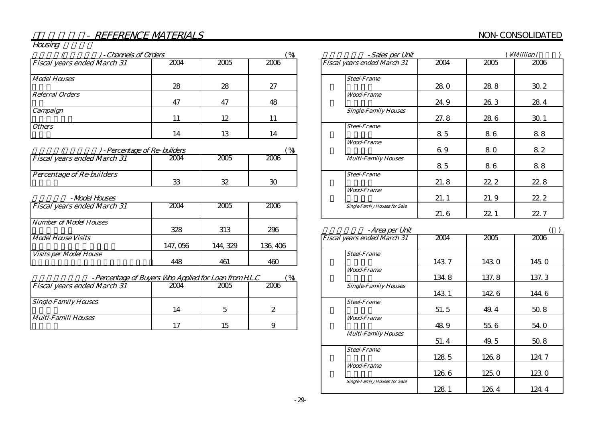#### NON-CONSOLIDATED

Housing

| - Channels of Orders               |      |      |      | - Sales per Unit                    | Million /    |
|------------------------------------|------|------|------|-------------------------------------|--------------|
| <b>Fiscal years ended March 31</b> | 2004 | 2005 | 2006 | 2004<br>Fiscal years ended March 31 | 2006<br>2005 |
| <b>Model Houses</b>                | 28   | 28   | 27   | <b>Steel-Frame</b><br><b>280</b>    | 30.2<br>288  |
| Referral Orders                    | 47   | 47   | 48   | <b>Wood-Frame</b><br>24.9           | 28.4<br>26.3 |
| Campaign                           | 11   | 12   | 11   | <b>Single-Family Houses</b><br>27.8 | 30.1<br>28 6 |
| <b>Others</b>                      | 14   | 13   | 14   | <b>Steel-Frame</b><br>85            | 88<br>86     |
| -Percentage of Re-builders         |      |      |      | <b>Wood-Frame</b><br>6.9            | 82<br>80     |

| - Fel cel liage of Re-Duille 3     |      |      |      |  |                            |
|------------------------------------|------|------|------|--|----------------------------|
| <b>Fiscal years ended March 31</b> | 2004 | 2005 | 2006 |  | <b>Multi-Family Houses</b> |
| <i>Percentage of Re-builders</i>   | ഹ    | ∽    | ∼    |  | <b>Steel-Frame</b>         |

#### 住宅展示場 -Model Houses

| <b>Fiscal years ended March 31</b> | 2004     | 2005     | 2006     | <b>Single-Family Houses for Sale</b> |
|------------------------------------|----------|----------|----------|--------------------------------------|
| Number of Model Houses             |          |          |          |                                      |
|                                    | 328      | 313      | 296      | -Area per Un                         |
| <b>Model House Visits</b>          |          |          |          | <b>Fiscal years ended March 31</b>   |
|                                    | 147, 056 | 144, 329 | 136, 406 |                                      |
| <i>Visits per Model House</i>      |          |          |          | <b>Steel-Frame</b>                   |
|                                    | 448      | 461      | 460      |                                      |

| $\%$<br>- Percentage of Buyers Who Applied for Loan from H.L.C |
|----------------------------------------------------------------|
|----------------------------------------------------------------|

| <b>Fiscal years ended March 31</b> | 2004 | 2005 | 2006 | <b>Single-Family Houses</b> |
|------------------------------------|------|------|------|-----------------------------|
|                                    |      |      |      |                             |
| <b>Single-Family Houses</b>        | 14   |      |      | <b>Steel-Frame</b>          |
| Multi-Famili Houses                |      |      | ∼    | <b>Wood-Frame</b>           |
|                                    |      | 15   |      |                             |

| -Sales per Unit                      | <i>Million</i> / |      |       |
|--------------------------------------|------------------|------|-------|
| Fiscal years ended March 31          | 2004             | 2005 | 2006  |
| <b>Steel-Frame</b>                   | 28. O            | 28.8 | 30.2  |
| <b>Wood-Frame</b>                    | 24.9             | 26.3 | 28.4  |
| <b>Single-Family Houses</b>          | 27.8             | 28.6 | 30.1  |
| <b>Steel-Frame</b>                   | 8.5              | 86   | 88    |
| <b>Wood-Frame</b>                    | 69               | 80   | 82    |
| <b>Multi-Family Houses</b>           | 85               | 86   | 88    |
| <b>Steel-Frame</b>                   | 21.8             | 22.2 | 22.8  |
| <b>Wood-Frame</b>                    | 21.1             | 21.9 | 22. 2 |
| <b>Single-Family Houses for Sale</b> | 21.6             | 22.1 | 22. 7 |

| -Area per Unit                       |       |       |       |
|--------------------------------------|-------|-------|-------|
| <b>Fiscal years ended March 31</b>   | 2004  | 2005  | 2006  |
| <b>Steel-Frame</b>                   | 1437  | 1430  | 145.0 |
| <b>Wood-Frame</b>                    |       |       |       |
|                                      | 134.8 | 137.8 | 137.3 |
| <b>Single-Family Houses</b>          | 143 1 | 1426  | 144.6 |
| <b>Steel-Frame</b>                   | 51.5  | 49.4  | 50.8  |
| <i><b>Wood-Frame</b></i>             | 48.9  | 55.6  | 54. Q |
| <b>Multi-Family Houses</b>           | 51.4  | 49.5  | 50.8  |
| <b>Steel-Frame</b>                   | 128.5 | 126.8 | 124.7 |
| <b>Wood-Frame</b>                    | 126 6 | 125.0 | 123.0 |
| <b>Single-Family Houses for Sale</b> | 128.1 | 126.4 | 124.4 |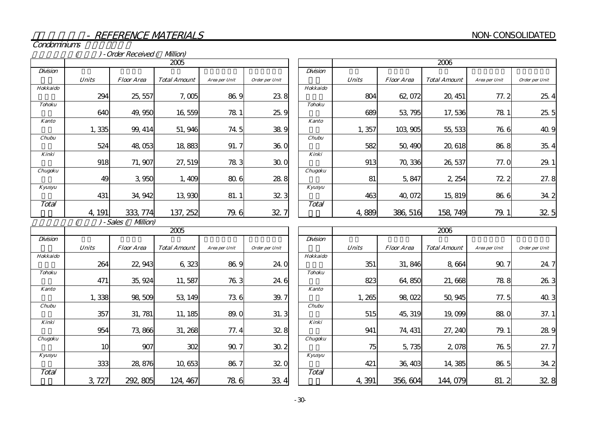Condominiums

(b) - Order Received (Allion)

|               | 2005         |                   |                     |               |                |  |  |  |
|---------------|--------------|-------------------|---------------------|---------------|----------------|--|--|--|
| Division      |              |                   |                     |               |                |  |  |  |
|               | <b>Units</b> | <b>Floor Area</b> | <b>Total Amount</b> | Area per Unit | Order per Unit |  |  |  |
| Hokkaido      |              |                   |                     |               |                |  |  |  |
|               | 294          | 25, 557           | 7,005               | 86.9          | 238            |  |  |  |
| <b>Tohoku</b> |              |                   |                     |               |                |  |  |  |
|               | 640          | 49,950            | 16,559              | 78.1          | 25.9           |  |  |  |
| Kanto         |              |                   |                     |               |                |  |  |  |
|               | 1,335        | 99, 414           | 51,946              | 74.5          | 38.9           |  |  |  |
| <b>Chubu</b>  |              |                   |                     |               |                |  |  |  |
|               | 524          | 48,053            | 18,883              | 91.7          | 36.0           |  |  |  |
| Kinki         |              |                   |                     |               |                |  |  |  |
|               | 918          | 71, 907           | 27, 519             | 783           | 30.0           |  |  |  |
| Chugoku       |              |                   |                     |               |                |  |  |  |
|               | 49           | 3,950             | 1,409               | 80.6          | 28.8           |  |  |  |
| Kyusyu        |              |                   |                     |               |                |  |  |  |
|               | 431          | 34, 942           | 13,930              | 81.1          | 32.3           |  |  |  |
| Total         |              |                   |                     |               |                |  |  |  |
|               | 4, 191       | 333.              | 137, 252            | 79.6          | 32.7           |  |  |  |

|               | 2006  |                   |                     |               |                |  |  |  |
|---------------|-------|-------------------|---------------------|---------------|----------------|--|--|--|
| Division      |       |                   |                     |               |                |  |  |  |
|               | Units | <i>Floor Area</i> | <b>Total Amount</b> | Area per Unit | Order per Unit |  |  |  |
| Hokkaido      |       |                   |                     |               |                |  |  |  |
|               | 804   | 62,072            | 20, 451             | 77.2          | 25.4           |  |  |  |
| <b>Tohoku</b> |       |                   |                     |               |                |  |  |  |
|               | 689   | 53, 795           | 17,536              | 78.1          | 25.5           |  |  |  |
| <b>Kanto</b>  |       |                   |                     |               |                |  |  |  |
|               | 1,357 | 103,905           | 55, 533             | 76.6          | 40.9           |  |  |  |
| Chubu         |       |                   |                     |               |                |  |  |  |
|               | 582   | 50, 490           | 20, 618             | 86.8          | 35.4           |  |  |  |
| Kinki         |       |                   |                     |               |                |  |  |  |
|               | 913   | 70,336            | 26, 537             | 77.0          | 29.            |  |  |  |
| Chugoku       |       |                   |                     |               |                |  |  |  |
|               | 81    | 5,847             | 2, 254              | 72.2          | 27.8           |  |  |  |
| Kyusyu        |       |                   |                     |               |                |  |  |  |
|               | 463   | 40,072            | 15,819              | 86.6          | 34.2           |  |  |  |
| Total         |       |                   |                     |               |                |  |  |  |
|               | 889   | 386, 516          | 158<br>749          | 79.           | 32.5           |  |  |  |

( ) - Sales ( Million)

|               | 2005         |                   |                     |               |                |  |  |  |
|---------------|--------------|-------------------|---------------------|---------------|----------------|--|--|--|
| Division      |              |                   |                     |               |                |  |  |  |
|               | <b>Units</b> | <b>Floor Area</b> | <b>Total Amount</b> | Area per Unit | Order per Unit |  |  |  |
| Hokkaido      |              |                   |                     |               |                |  |  |  |
|               | 264          | 22, 943           | 6,323               | 86.9          | 24.0           |  |  |  |
| <b>Tohoku</b> |              |                   |                     |               |                |  |  |  |
|               | 471          | 35, 924           | 11,587              | 76.3          | 24.6           |  |  |  |
| Kanto         |              |                   |                     |               |                |  |  |  |
|               | 1,338        | 98,509            | 53, 149             | 736           | 39.7           |  |  |  |
| Chubu         |              |                   |                     |               |                |  |  |  |
|               | 357          | 31, 781           | 11, 185             | 89.0          | 31.3           |  |  |  |
| Kinki         |              |                   |                     |               |                |  |  |  |
|               | 954          | 73,866            | 31, 268             | 77.4          | 32.8           |  |  |  |
| Chugoku       |              |                   |                     |               |                |  |  |  |
|               | 10           | 907               | 302                 | 90.7          | 30.2           |  |  |  |
| Kyusyu        |              |                   |                     |               |                |  |  |  |
|               | 333          | 28,876            | 10,653              | 86.7          | 32.0           |  |  |  |
| Total         |              |                   |                     |               |                |  |  |  |
|               | З            | 292, 805          | 124, 467            | 786           | 33.4           |  |  |  |

|               | 2006         |                   |                     |               |                      |  |  |  |  |  |  |  |
|---------------|--------------|-------------------|---------------------|---------------|----------------------|--|--|--|--|--|--|--|
| Division      |              |                   |                     |               |                      |  |  |  |  |  |  |  |
|               | <b>Units</b> | <i>Floor Area</i> | <b>Total Amount</b> | Area per Unit | Order per Unit       |  |  |  |  |  |  |  |
| Hokkaido      |              |                   |                     |               |                      |  |  |  |  |  |  |  |
|               | 351          | 31,846            | 8,664               | 90.7          | 24.7                 |  |  |  |  |  |  |  |
| <b>Tohoku</b> |              |                   |                     |               |                      |  |  |  |  |  |  |  |
|               | 823          | 64,850            | 21,668              | 78.8          | 26.3                 |  |  |  |  |  |  |  |
| <b>Kanto</b>  |              |                   |                     |               |                      |  |  |  |  |  |  |  |
|               | 1,265        | 98,022            | 50, 945             | 77.5          | 40.3                 |  |  |  |  |  |  |  |
| Chubu         |              |                   |                     |               |                      |  |  |  |  |  |  |  |
|               | 515          | 45, 319           | 19,099              | 88.0          | 37.1                 |  |  |  |  |  |  |  |
| Kinki         |              |                   |                     |               |                      |  |  |  |  |  |  |  |
|               | 941          | 74, 431           | 27, 240             | 79.1          | 28.9                 |  |  |  |  |  |  |  |
| Chugoku       |              |                   |                     |               |                      |  |  |  |  |  |  |  |
|               | 75           | 5,735             | 2,078               | 76.5          | 27.7                 |  |  |  |  |  |  |  |
| Kyusyu        |              |                   |                     |               |                      |  |  |  |  |  |  |  |
|               | 421          | 36, 403           | 14,385              | 86.5          | 34.2                 |  |  |  |  |  |  |  |
| Total         |              |                   |                     |               |                      |  |  |  |  |  |  |  |
|               | 4,391        | 356, 604          | 144,079             | 81.2          | 32 <sub>1</sub><br>8 |  |  |  |  |  |  |  |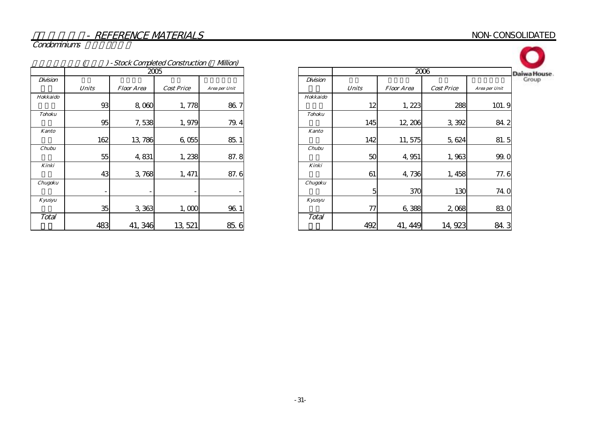#### NON-CONSOLIDATED

Condominiums

| - Stock Completed Construction ( Million) |              |                   |                   |               |  |  |  |  |  |  |  |  |
|-------------------------------------------|--------------|-------------------|-------------------|---------------|--|--|--|--|--|--|--|--|
|                                           |              |                   | 2005              |               |  |  |  |  |  |  |  |  |
| Division                                  |              |                   |                   |               |  |  |  |  |  |  |  |  |
|                                           | <b>Units</b> | <b>Floor Area</b> | <b>Cost Price</b> | Area per Unit |  |  |  |  |  |  |  |  |
| Hokkaido                                  |              |                   |                   |               |  |  |  |  |  |  |  |  |
|                                           | 93           | 8,060             | 1,778             | 86.7          |  |  |  |  |  |  |  |  |
| <b>Tohoku</b>                             |              |                   |                   |               |  |  |  |  |  |  |  |  |
|                                           | 95           | 7,538             | 1,979             | 79.4          |  |  |  |  |  |  |  |  |
| <b>Kanto</b>                              |              |                   |                   |               |  |  |  |  |  |  |  |  |
|                                           | 162          | 13,786            | 6,055             | 85.1          |  |  |  |  |  |  |  |  |
| Chubu                                     |              |                   |                   |               |  |  |  |  |  |  |  |  |
|                                           | 55           | 4,831             | 1,238             | 87.8          |  |  |  |  |  |  |  |  |
| Kinki                                     |              |                   |                   |               |  |  |  |  |  |  |  |  |
|                                           | 43           | 3,768             | 1, 471            | 87.6          |  |  |  |  |  |  |  |  |
| Chugoku                                   |              |                   |                   |               |  |  |  |  |  |  |  |  |
|                                           | -            |                   |                   |               |  |  |  |  |  |  |  |  |
| Kyusyu                                    |              |                   |                   |               |  |  |  |  |  |  |  |  |
|                                           | 35           | 3,363             | 1,000             | 96.1          |  |  |  |  |  |  |  |  |
| Total                                     |              |                   |                   |               |  |  |  |  |  |  |  |  |
|                                           | 483          | 41, 346           | 13, 521           | 85.<br>6      |  |  |  |  |  |  |  |  |

| б                 |               |          | 2006         |                   |                   |               |  |  |  |  |
|-------------------|---------------|----------|--------------|-------------------|-------------------|---------------|--|--|--|--|
|                   |               | Division |              |                   |                   |               |  |  |  |  |
| <b>Cost Price</b> | Area per Unit |          | <b>Units</b> | <b>Floor Area</b> | <b>Cost Price</b> | Area per Unit |  |  |  |  |
|                   |               | Hokkaido |              |                   |                   |               |  |  |  |  |
| 1,778             | 86.7          |          | 12           | 1,223             | 288               | 101.9         |  |  |  |  |
|                   |               | Tohoku   |              |                   |                   |               |  |  |  |  |
| 1,979             | 79.4          |          | 145          | 12, 206           | 3,392             | 84.2          |  |  |  |  |
|                   |               | Kanto    |              |                   |                   |               |  |  |  |  |
| 6,055             | 85.1          |          | 142          | 11,575            | 5,624             | 81.5          |  |  |  |  |
|                   |               | Chubu    |              |                   |                   |               |  |  |  |  |
| 1,238             | 87.8          |          | 50           | 4,951             | 1,963             | 99.0          |  |  |  |  |
|                   |               | Kinki    |              |                   |                   |               |  |  |  |  |
| 1, 471            | 87.6          |          | 61           | 4,736             | 1, 458            | 77.6          |  |  |  |  |
|                   |               | Chugoku  |              |                   |                   |               |  |  |  |  |
|                   |               |          | 5            | 370               | 130               | <b>740</b>    |  |  |  |  |
|                   |               | Kyusyu   |              |                   |                   |               |  |  |  |  |
| 1,000             | 96.1          |          | 77           | 6,388             | 2,068             | 830           |  |  |  |  |
|                   |               | Total    |              |                   |                   |               |  |  |  |  |
| 13, 521           | 85.6          |          | 492          | 41, 449           | 14, 923           | 84.3          |  |  |  |  |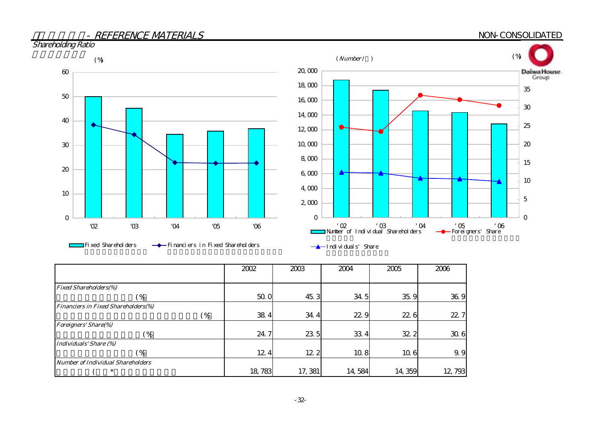

|                                            | 2002   | 2003    | 2004   | 2005   | 2006   |
|--------------------------------------------|--------|---------|--------|--------|--------|
|                                            |        |         |        |        |        |
| <b>Fixed Shareholders(%)</b>               |        |         |        |        |        |
| $4\%$                                      | 50.0   | 45.3    | 34.5   | 35.9   | 36.9   |
| <b>Financiers in Fixed Shareholders(%)</b> |        |         |        |        |        |
| (%                                         | 38.4   | 34.4    | 22.9   | 22.6   | 22.7   |
| <b>Foreigners' Share(%)</b>                |        |         |        |        |        |
| $\frac{9}{6}$                              | 24.7   | 23.5    | 33 4   | 32.2   | 30.6   |
| Individuals' Share (%)                     |        |         |        |        |        |
| $\frac{6}{6}$                              | 12.4   | 12 2    | 10.8   | 10.6   | 9.9    |
| Number of Individual Shareholders          |        |         |        |        |        |
| $\ast$                                     | 18,783 | 17, 381 | 14,584 | 14,359 | 12,793 |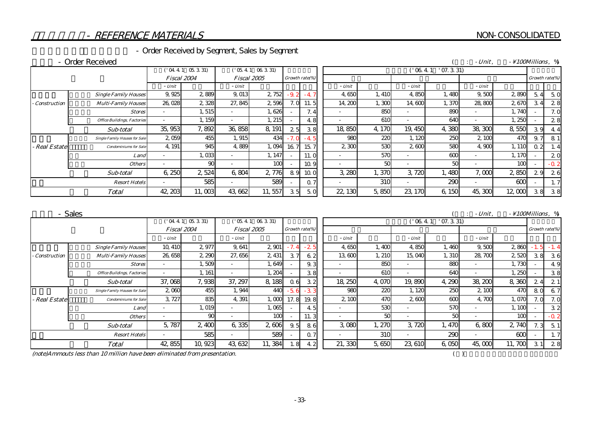$($  : - Unit,  $\qquad$   $\setminus$  100Millions,  $\%$ 

#### - REFERENCE MATERIALS

#### - Order Received by Segment, Sales by Segment

#### - Order Received

|                    |                                      | ('04.4.1 05.331)         |          |                          | $05.41$ $06.331$ |        | $'$ 07. 3. 31)<br>$'$ 06.4.1 |                          |        |         |       |                |        |                |                |
|--------------------|--------------------------------------|--------------------------|----------|--------------------------|------------------|--------|------------------------------|--------------------------|--------|---------|-------|----------------|--------|----------------|----------------|
|                    |                                      | Fiscal 2004              |          |                          | Fiscal 2005      |        | Growth rate(%)               |                          |        |         |       | Growth rate(%) |        |                |                |
|                    |                                      | - Unit                   |          | - Unit                   |                  |        |                              | - Unit                   |        | - Unit  |       | $- Unit$       |        |                |                |
|                    | <b>Single Family Houses</b>          | 9,925                    | 2889     | 9,013                    | 2, 752           | $-9.2$ |                              | 4,650                    | 1, 410 | 4.850   | 1,480 | 9,500          | 2890   | $\overline{4}$ | 5C             |
| Construction       | <b>Multi-Family Houses</b>           | 26,028                   | 2 3 2 8  | 27,845                   | 2596             | 7. Q   |                              | 14, 200                  | 1,300  | 14.600  | 1,370 | 28,800         | 2670   |                | 28             |
|                    | <b>Stores</b>                        | $\overline{\phantom{a}}$ | 1,515    | $\overline{\phantom{0}}$ | 1,626            |        | 7.4                          |                          | 850    |         | 89C   |                | 1,740  |                | 7 <sub>c</sub> |
|                    | <b>Office Buildings, Factories</b>   | $\sim$                   | 1, 159   | $\overline{\phantom{a}}$ | 1,215            |        | 4.8                          |                          | 610    |         | 64C   |                | 1,250  |                | 28             |
|                    | Sub-total                            | 35, 953                  | 7.892    | 36,858                   | 8, 191           | 25     | 38                           | 18 850                   | 4,170  | 19, 450 | 4,380 | 38, 300        | 8,550  | 39             | 4.4            |
|                    | <b>Single Family Houses for Sale</b> | 2059                     | 455      | 1,915                    | 434              | $-7.0$ | $-4.5$                       | 980                      | 220    | 1, 120  | 250   | 2,100          | 470    | 9              | 81             |
| <b>Real Estate</b> | <b>Condominiums</b> for Sale         | 4, 191                   | 945      | 4.889                    | 1,094            | 16.7   | 15.7                         | 2,300                    | 530    | 2600    | 580   | 4,900          | 1, 110 | 0.2            | 1. 4           |
|                    | Land                                 |                          | 1,033    |                          | 1, 147           |        |                              |                          | 570    |         | 600   |                | 1, 170 |                | 2C             |
|                    | <b>Others</b>                        | $\overline{\phantom{a}}$ | $\infty$ | $\sim$                   | 100              |        | 10.9                         | $\overline{\phantom{a}}$ | 50     |         | 50    |                | 100    |                | $-0.2$         |
|                    | Sub-total                            | 6 250                    | 2 524    | 6.804                    | 2 776            | 89     | 10C                          | 3 280                    | l. 370 | 3,720   | 1,480 | 7.000          | 2,850  | 29             | 2e             |
|                    | <b>Resort Hotels</b>                 | $\overline{\phantom{a}}$ | 585      | $\overline{\phantom{a}}$ | 589              |        | $\Omega$                     |                          | 310    |         | 290   |                | 600    |                | 1, 7           |
|                    | <b>Total</b>                         | 42, 203                  | 11,003   | 43 662                   | 11,557           | 35     | 5.0                          | 22, 130                  | 5,850  | 23, 170 | 6,150 | 45,300         | 12,000 | 38             | 38             |

売上高 - Sales

 $($  : - Unit ,  $\rightarrow$  100Millions ,  $\%$ 

|                     |                                      |             | $04.41$ $05.331$ |                          | 054106331          |                        |       |                          |        | 06.4.1 | $'$ 07. 3. 31) |         |        |                |        |
|---------------------|--------------------------------------|-------------|------------------|--------------------------|--------------------|------------------------|-------|--------------------------|--------|--------|----------------|---------|--------|----------------|--------|
|                     |                                      | Fiscal 2004 |                  |                          | <i>Fiscal 2005</i> | Growth rate(%)         |       |                          |        |        |                |         |        | Growth rate(%) |        |
|                     |                                      | - Unit      |                  | - Unit                   |                    |                        |       | - Unit                   |        | - Unit |                | - Unit  |        |                |        |
|                     | <b>Single Family Houses</b>          | 10, 410     | 2977             | 9,641                    | 2 901              | $-7$<br>$\overline{A}$ | 25    | 4,650                    | 1,400  | 4 850  | 1,460          | 9,500   | 2860   |                | $-1.4$ |
| <b>Construction</b> | <b>Multi-Family Houses</b>           | 26,658      | 2,290            | 27,656                   | 2,431              | 37                     | 62    | 13,600                   | 1, 210 | 15,040 | 1, 310         | 28,700  | 2520   | 38             | 3e     |
|                     | <b>Stores</b>                        |             | 1,509            | $\overline{\phantom{a}}$ | 1.649              |                        | 9.3   | $\overline{\phantom{a}}$ | 850    |        | 880            |         | 1.730  |                | 4.9    |
|                     | <b>Office Buildings, Factories</b>   |             | 1, 161           |                          | l, 204             |                        | 38    | $\overline{\phantom{a}}$ | 610    |        | 640            |         | 1,250  |                | 38     |
|                     | Sub-total                            | 37,068      | 7,938            | 37.297                   | 8,188              | 06                     | 32    | 18, 250                  | 4,070  | 19,890 | 4,290          | 38, 200 | 8,360  | 24             | 21     |
|                     | <b>Single Family Houses for Sale</b> | 2 0 6 0     | 455              | 1,944                    | 440                | $-5.6$                 | $-33$ | 980                      | 22C    | 1, 120 | 250            | 2,100   | 470    | 80             | 6.7    |
| - Real Estate       | <b>Condominiums</b> for Sale         | 3.727       | 835              | 4,391                    | 1,000              | 17.8                   | 19.8  | 2,100                    | 47C    | 2600   | 600            | 4.700   | 1.070  | 7. O           | 7. C   |
|                     | Land                                 |             | 1,019            |                          | 1,065              |                        | 45    |                          | 530    |        | 570            |         | 1, 100 |                | 32     |
|                     | <b>Others</b>                        |             | 90               |                          | 100                |                        | 11.3  | $\overline{\phantom{a}}$ | 50     |        | 50             |         | 100    |                | 0.2    |
|                     | Sub-total                            | 5,787       | 2,400            | 6,335                    | 2,606              | 9.5                    | 86    | 3,080                    | l, 270 | 3,720  | 1,470          | 6,800   | 2,740  | 7.3            | 5.1    |
|                     | <b>Resort Hotels</b>                 |             | 585              |                          | 589                |                        | 0.7   | $\overline{\phantom{0}}$ | 310    |        | 290            |         | 600    |                | 1, 7   |
|                     | <b>Total</b>                         | 42,855      | 10,923           | 43, 632                  | 11,384             | 1.8                    | 4.2   | 21,330                   | 5,650  | 23,610 | 6,050          | 45,000  | 11,700 | 31             | 28     |

(note)Ammouts less than 10 million have been eliminated from presentation.  $($ )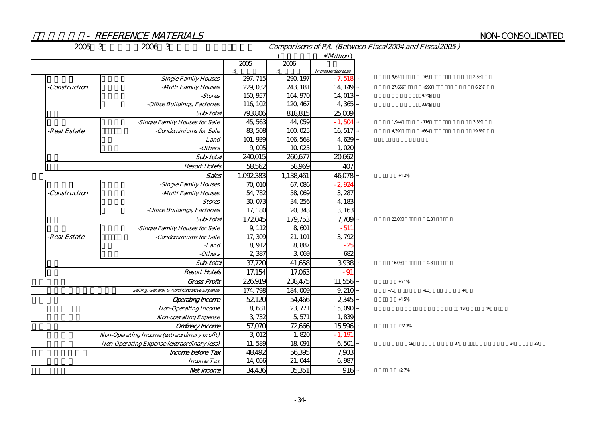## NON-CONSOLIDATED

| 2005 3        | 2006 3                                             | Comparisons of P/L (Between Fiscal2004 and Fiscal2005) |               |                               |          |        |      |       |    |    |  |  |  |
|---------------|----------------------------------------------------|--------------------------------------------------------|---------------|-------------------------------|----------|--------|------|-------|----|----|--|--|--|
|               |                                                    |                                                        |               | $\setminus$ <i>Million</i> )  |          |        |      |       |    |    |  |  |  |
|               |                                                    | 2005                                                   | 2006          |                               |          |        |      |       |    |    |  |  |  |
|               | -Single Family Houses                              | 3<br>297, 715                                          | 3<br>290, 197 | Increase/decrease<br>$-7,518$ | 9,641    | $-769$ |      | 2.5%  |    |    |  |  |  |
| -Construction | -Multi Family Houses                               | 229, 032                                               | 243, 181      | 14, 149                       | 27,656   | $+998$ |      | 6.2%  |    |    |  |  |  |
|               | -Stores                                            | 150, 957                                               | 164, 970      | 14,013                        |          | 9.3%   |      |       |    |    |  |  |  |
|               | -Office Buildings, Factories                       | 116, 102                                               | 120, 467      | 4,365                         |          | 38%    |      |       |    |    |  |  |  |
|               | Sub-total                                          | 793,806                                                | 818815        | 25,009                        |          |        |      |       |    |    |  |  |  |
|               | -Single Family Houses for Sale                     | 45,563                                                 | 44,059        | $-1,504$                      | 1,944    | $-116$ |      | 3.3%  |    |    |  |  |  |
| -Real Estate  | -Condominiums for Sale                             | 83,508                                                 | 100,025       | 16,517                        | 4,391    | $+664$ |      | 19.8% |    |    |  |  |  |
|               | -Land                                              | 101, 939                                               | 106,568       | 4,629                         |          |        |      |       |    |    |  |  |  |
|               | -Others                                            | 9,005                                                  | 10,025        | 1,020                         |          |        |      |       |    |    |  |  |  |
|               | Sub-total                                          | 240,015                                                | 260,677       | 20,662                        |          |        |      |       |    |    |  |  |  |
|               | <b>Resort Hotels</b>                               | 58,562                                                 | 58,969        | 407                           |          |        |      |       |    |    |  |  |  |
|               | <b>Sales</b>                                       | 1,092,383                                              | 1,138,461     | 46,078                        | $+4.2%$  |        |      |       |    |    |  |  |  |
|               | -Single Family Houses                              | 70,010                                                 | 67,086        | $-2,924$                      |          |        |      |       |    |    |  |  |  |
| -Construction | -Multi Family Houses                               | 54, 782                                                | 58,069        | 3,287                         |          |        |      |       |    |    |  |  |  |
|               | $- Stores$                                         | 30,073                                                 | 34, 256       | 4,183                         |          |        |      |       |    |    |  |  |  |
|               | -Office Buildings, Factories                       | 17, 180                                                | 20, 343       | 3,163                         |          |        |      |       |    |    |  |  |  |
|               | Sub-total                                          | 172,045                                                | 179,753       | 7,709                         | 22.0%    | 03     |      |       |    |    |  |  |  |
|               | -Single Family Houses for Sale                     | 9, 112                                                 | 8,601         | $-511$                        |          |        |      |       |    |    |  |  |  |
| -Real Estate  | -Condominiums for Sale                             | 17,309                                                 | 21, 101       | 3,792                         |          |        |      |       |    |    |  |  |  |
|               | -Land                                              | 8,912                                                  | 8,887         | $-25$                         |          |        |      |       |    |    |  |  |  |
|               | -Others                                            | 2,387                                                  | 3,069         | 682                           |          |        |      |       |    |    |  |  |  |
|               | Sub-total                                          | 37,720                                                 | 41,658        | 3,938                         | 160%     | 03     |      |       |    |    |  |  |  |
|               | <b>Resort Hotels</b>                               | 17,154                                                 | 17,063        | $-91$                         |          |        |      |       |    |    |  |  |  |
|               | <b>Gross Profit</b>                                | 226,919                                                | 238,475       | 11,556                        | $+5.1%$  |        |      |       |    |    |  |  |  |
|               | Selling, General & Administrative Expense          | 174, 798                                               | 184,009       | 9, 210                        | $+71$    | $+10$  | $+4$ |       |    |    |  |  |  |
|               | <b>Operating Income</b>                            | 52120                                                  | 54,466        | 2,345                         | $+4.5%$  |        |      |       |    |    |  |  |  |
|               | <b>Non-Operating Income</b>                        | 8,681                                                  | 23, 771       | 15,090                        |          |        | 170  | 19    |    |    |  |  |  |
|               | <b>Non-operating Expense</b>                       | 3,732                                                  | 5, 571        | 1,839                         |          |        |      |       |    |    |  |  |  |
|               | <b>Ordinary Income</b>                             | 57,070                                                 | 72,666        | 15,596                        | $+27.3%$ |        |      |       |    |    |  |  |  |
|               | <b>Non-Operating Income (extraordinary profit)</b> | 3 012                                                  | 1,820         | $-1, 191$                     |          |        |      |       |    |    |  |  |  |
|               | Non-Operating Expense (extraordinary loss)         | 11,589                                                 | 18,091        | 6,501                         | 59       |        | 37   |       | 34 | 23 |  |  |  |
|               | Income before Tax                                  | 48,492                                                 | 56,395        | 7,903                         |          |        |      |       |    |    |  |  |  |
|               | <b>Income Tax</b>                                  | 14,056                                                 | 21,044        | 6,987                         |          |        |      |       |    |    |  |  |  |
|               | Net Income                                         | 34,436                                                 | 35,351        | 916                           | $+2.7%$  |        |      |       |    |    |  |  |  |